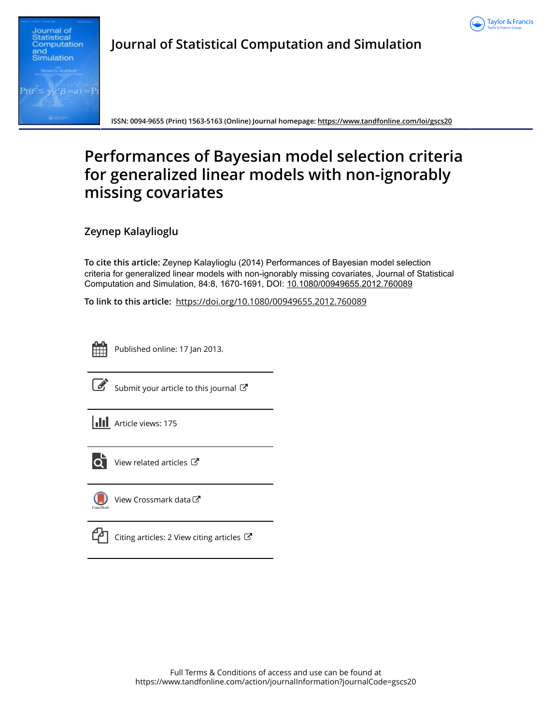



**Journal of Statistical Computation and Simulation**

**ISSN: 0094-9655 (Print) 1563-5163 (Online) Journal homepage:<https://www.tandfonline.com/loi/gscs20>**

# **Performances of Bayesian model selection criteria for generalized linear models with non-ignorably missing covariates**

**Zeynep Kalaylioglu**

**To cite this article:** Zeynep Kalaylioglu (2014) Performances of Bayesian model selection criteria for generalized linear models with non-ignorably missing covariates, Journal of Statistical Computation and Simulation, 84:8, 1670-1691, DOI: [10.1080/00949655.2012.760089](https://www.tandfonline.com/action/showCitFormats?doi=10.1080/00949655.2012.760089)

**To link to this article:** <https://doi.org/10.1080/00949655.2012.760089>

Published online: 17 Jan 2013.



 $\overrightarrow{S}$  [Submit your article to this journal](https://www.tandfonline.com/action/authorSubmission?journalCode=gscs20&show=instructions)  $\overrightarrow{S}$ 





 $\overrightarrow{Q}$  [View related articles](https://www.tandfonline.com/doi/mlt/10.1080/00949655.2012.760089)  $\overrightarrow{C}$ 



[View Crossmark data](http://crossmark.crossref.org/dialog/?doi=10.1080/00949655.2012.760089&domain=pdf&date_stamp=2013-01-17)

|  | Can Citing articles: 2 View |
|--|-----------------------------|
|--|-----------------------------|

citing articles  $\mathbb{Z}$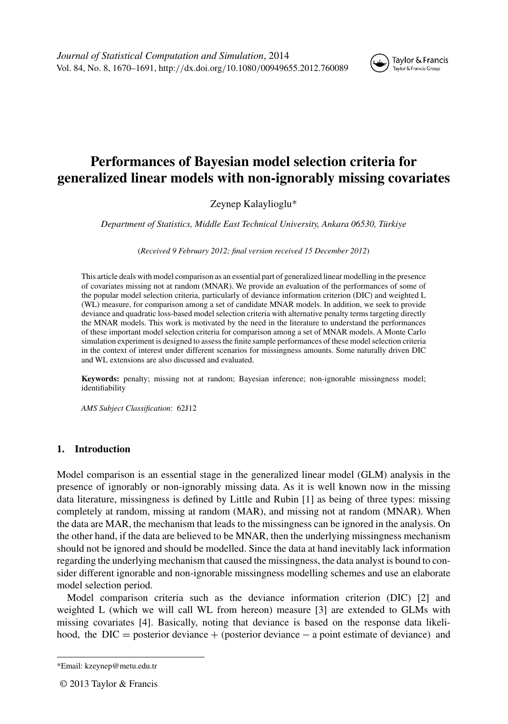

# **Performances of Bayesian model selection criteria for generalized linear models with non-ignorably missing covariates**

Zeynep Kalaylioglu\*

*Department of Statistics, Middle East Technical University, Ankara 06530, Türkiye*

(*Received 9 February 2012; final version received 15 December 2012*)

This article deals with model comparison as an essential part of generalized linear modelling in the presence of covariates missing not at random (MNAR). We provide an evaluation of the performances of some of the popular model selection criteria, particularly of deviance information criterion (DIC) and weighted L (WL) measure, for comparison among a set of candidate MNAR models. In addition, we seek to provide deviance and quadratic loss-based model selection criteria with alternative penalty terms targeting directly the MNAR models. This work is motivated by the need in the literature to understand the performances of these important model selection criteria for comparison among a set of MNAR models. A Monte Carlo simulation experiment is designed to assess the finite sample performances of these model selection criteria in the context of interest under different scenarios for missingness amounts. Some naturally driven DIC and WL extensions are also discussed and evaluated.

**Keywords:** penalty; missing not at random; Bayesian inference; non-ignorable missingness model; identifiability

*AMS Subject Classification*: 62J12

# **1. Introduction**

Model comparison is an essential stage in the generalized linear model (GLM) analysis in the presence of ignorably or non-ignorably missing data. As it is well known now in the missing data literature, missingness is defined by Little and Rubin [\[1\]](#page-22-0) as being of three types: missing completely at random, missing at random (MAR), and missing not at random (MNAR). When the data are MAR, the mechanism that leads to the missingness can be ignored in the analysis. On the other hand, if the data are believed to be MNAR, then the underlying missingness mechanism should not be ignored and should be modelled. Since the data at hand inevitably lack information regarding the underlying mechanism that caused the missingness, the data analyst is bound to consider different ignorable and non-ignorable missingness modelling schemes and use an elaborate model selection period.

Model comparison criteria such as the deviance information criterion (DIC) [\[2](#page-22-0)] and weighted L (which we will call WL from hereon) measure [\[3\]](#page-22-0) are extended to GLMs with missing covariates [\[4](#page-22-0)]. Basically, noting that deviance is based on the response data likelihood, the DIC = posterior deviance + *(*posterior deviance − a point estimate of deviance*)* and

<sup>\*</sup>Email: kzeynep@metu.edu.tr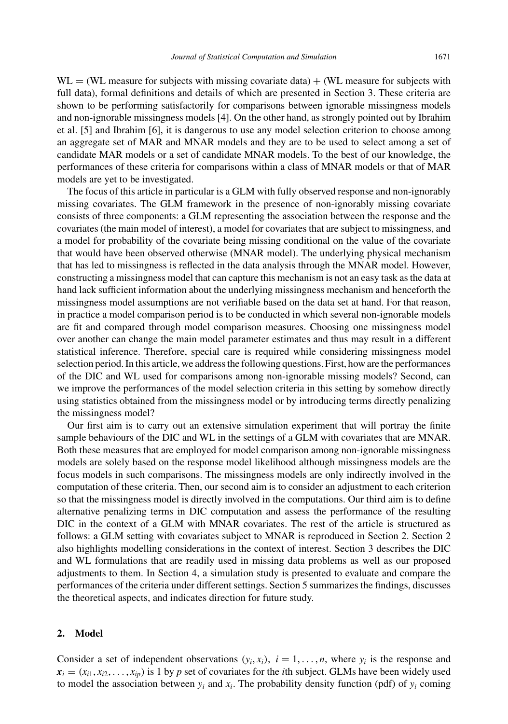WL = (WL measure for subjects with missing covariate data) + *(*WL measure for subjects with full data), formal definitions and details of which are presented in Section 3. These criteria are shown to be performing satisfactorily for comparisons between ignorable missingness models and non-ignorable missingness models [\[4](#page-22-0)]. On the other hand, as strongly pointed out by Ibrahim et al. [\[5](#page-22-0)] and Ibrahim [\[6\]](#page-22-0), it is dangerous to use any model selection criterion to choose among an aggregate set of MAR and MNAR models and they are to be used to select among a set of candidate MAR models or a set of candidate MNAR models. To the best of our knowledge, the performances of these criteria for comparisons within a class of MNAR models or that of MAR models are yet to be investigated.

The focus of this article in particular is a GLM with fully observed response and non-ignorably missing covariates. The GLM framework in the presence of non-ignorably missing covariate consists of three components: a GLM representing the association between the response and the covariates (the main model of interest), a model for covariates that are subject to missingness, and a model for probability of the covariate being missing conditional on the value of the covariate that would have been observed otherwise (MNAR model). The underlying physical mechanism that has led to missingness is reflected in the data analysis through the MNAR model. However, constructing a missingness model that can capture this mechanism is not an easy task as the data at hand lack sufficient information about the underlying missingness mechanism and henceforth the missingness model assumptions are not verifiable based on the data set at hand. For that reason, in practice a model comparison period is to be conducted in which several non-ignorable models are fit and compared through model comparison measures. Choosing one missingness model over another can change the main model parameter estimates and thus may result in a different statistical inference. Therefore, special care is required while considering missingness model selection period. In this article, we address the following questions. First, how are the performances of the DIC and WL used for comparisons among non-ignorable missing models? Second, can we improve the performances of the model selection criteria in this setting by somehow directly using statistics obtained from the missingness model or by introducing terms directly penalizing the missingness model?

Our first aim is to carry out an extensive simulation experiment that will portray the finite sample behaviours of the DIC and WL in the settings of a GLM with covariates that are MNAR. Both these measures that are employed for model comparison among non-ignorable missingness models are solely based on the response model likelihood although missingness models are the focus models in such comparisons. The missingness models are only indirectly involved in the computation of these criteria. Then, our second aim is to consider an adjustment to each criterion so that the missingness model is directly involved in the computations. Our third aim is to define alternative penalizing terms in DIC computation and assess the performance of the resulting DIC in the context of a GLM with MNAR covariates. The rest of the article is structured as follows: a GLM setting with covariates subject to MNAR is reproduced in Section 2. Section 2 also highlights modelling considerations in the context of interest. Section 3 describes the DIC and WL formulations that are readily used in missing data problems as well as our proposed adjustments to them. In Section 4, a simulation study is presented to evaluate and compare the performances of the criteria under different settings. Section 5 summarizes the findings, discusses the theoretical aspects, and indicates direction for future study.

#### **2. Model**

Consider a set of independent observations  $(y_i, x_i)$ ,  $i = 1, \ldots, n$ , where  $y_i$  is the response and  $x_i = (x_{i1}, x_{i2}, \ldots, x_{in})$  is 1 by *p* set of covariates for the *i*th subject. GLMs have been widely used to model the association between  $y_i$  and  $x_i$ . The probability density function (pdf) of  $y_i$  coming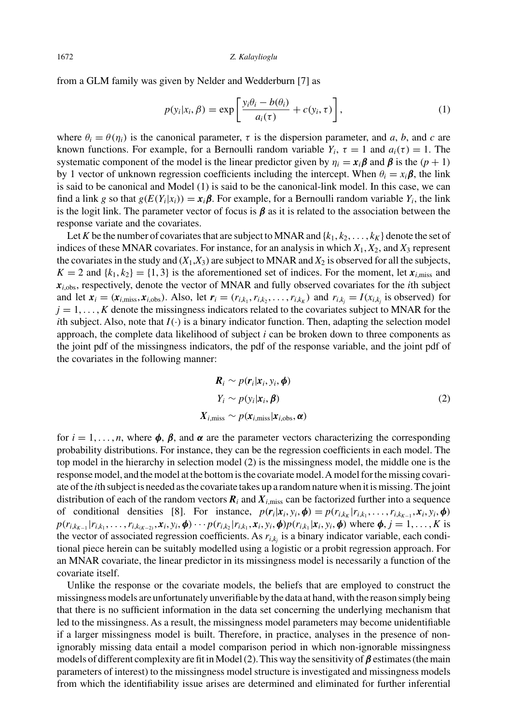<span id="page-3-0"></span>from a GLM family was given by Nelder and Wedderburn [\[7](#page-22-0)] as

$$
p(y_i|x_i, \beta) = \exp\left[\frac{y_i \theta_i - b(\theta_i)}{a_i(\tau)} + c(y_i, \tau)\right],
$$
\n(1)

where  $\theta_i = \theta(\eta_i)$  is the canonical parameter,  $\tau$  is the dispersion parameter, and *a*, *b*, and *c* are known functions. For example, for a Bernoulli random variable  $Y_i$ ,  $\tau = 1$  and  $a_i(\tau) = 1$ . The systematic component of the model is the linear predictor given by  $\eta_i = x_i \beta$  and  $\beta$  is the  $(p + 1)$ by 1 vector of unknown regression coefficients including the intercept. When  $\theta_i = x_i \beta$ , the link is said to be canonical and Model (1) is said to be the canonical-link model. In this case, we can find a link *g* so that  $g(E(Y_i|x_i)) = x_i \beta$ . For example, for a Bernoulli random variable  $Y_i$ , the link is the logit link. The parameter vector of focus is  $\beta$  as it is related to the association between the response variate and the covariates.

Let *K* be the number of covariates that are subject to MNAR and  $\{k_1, k_2, \ldots, k_K\}$  denote the set of indices of these MNAR covariates. For instance, for an analysis in which  $X_1, X_2$ , and  $X_3$  represent the covariates in the study and  $(X_1, X_3)$  are subject to MNAR and  $X_2$  is observed for all the subjects,  $K = 2$  and  $\{k_1, k_2\} = \{1, 3\}$  is the aforementioned set of indices. For the moment, let  $\mathbf{x}_{i,\text{miss}}$  and  $x_{i,obs}$ , respectively, denote the vector of MNAR and fully observed covariates for the *i*th subject and let  $x_i = (x_{i,\text{miss}}, x_{i,\text{obs}})$ . Also, let  $r_i = (r_{i,k_1}, r_{i,k_2}, \dots, r_{i,k_K})$  and  $r_{i,k_j} = I(x_{i,k_j} \text{ is observed})$  for  $j = 1, \ldots, K$  denote the missingness indicators related to the covariates subject to MNAR for the *i*th subject. Also, note that  $I(\cdot)$  is a binary indicator function. Then, adapting the selection model approach, the complete data likelihood of subject *i* can be broken down to three components as the joint pdf of the missingness indicators, the pdf of the response variable, and the joint pdf of the covariates in the following manner:

$$
\mathbf{R}_i \sim p(\mathbf{r}_i|\mathbf{x}_i, y_i, \boldsymbol{\phi})
$$
  
\n
$$
Y_i \sim p(y_i|\mathbf{x}_i, \boldsymbol{\beta})
$$
  
\n
$$
\mathbf{X}_{i, \text{miss}} \sim p(\mathbf{x}_{i, \text{miss}}|\mathbf{x}_{i, \text{obs}}, \boldsymbol{\alpha})
$$
 (2)

for  $i = 1, \ldots, n$ , where  $\phi$ ,  $\beta$ , and  $\alpha$  are the parameter vectors characterizing the corresponding probability distributions. For instance, they can be the regression coefficients in each model. The top model in the hierarchy in selection model (2) is the missingness model, the middle one is the response model, and the model at the bottom is the covariate model.A model for the missing covariate of the *i*th subject is needed as the covariate takes up a random nature when it is missing. The joint distribution of each of the random vectors  $\mathbf{R}_i$  and  $X_{i,\text{miss}}$  can be factorized further into a sequence of conditional densities [\[8\]](#page-22-0). For instance,  $p(r_i|x_i, y_i, \phi) = p(r_{i,k_x}|r_{i,k_1}, \dots, r_{i,k_{K-1}}, x_i, y_i, \phi)$  $p(r_{i,k_{K-1}}|r_{i,k_1},\ldots,r_{i,k_{(K-2)}},\mathbf{x}_i,y_i,\boldsymbol{\phi})\cdots p(r_{i,k_2}|r_{i,k_1},\mathbf{x}_i,y_i,\boldsymbol{\phi})p(r_{i,k_1}|\mathbf{x}_i,y_i,\boldsymbol{\phi})$  where  $\boldsymbol{\phi},j=1,\ldots,K$  is the vector of associated regression coefficients. As  $r_{i,k_j}$  is a binary indicator variable, each conditional piece herein can be suitably modelled using a logistic or a probit regression approach. For an MNAR covariate, the linear predictor in its missingness model is necessarily a function of the covariate itself.

Unlike the response or the covariate models, the beliefs that are employed to construct the missingness models are unfortunately unverifiable by the data at hand, with the reason simply being that there is no sufficient information in the data set concerning the underlying mechanism that led to the missingness. As a result, the missingness model parameters may become unidentifiable if a larger missingness model is built. Therefore, in practice, analyses in the presence of nonignorably missing data entail a model comparison period in which non-ignorable missingness models of different complexity are fit in Model (2). This way the sensitivity of *β* estimates (the main parameters of interest) to the missingness model structure is investigated and missingness models from which the identifiability issue arises are determined and eliminated for further inferential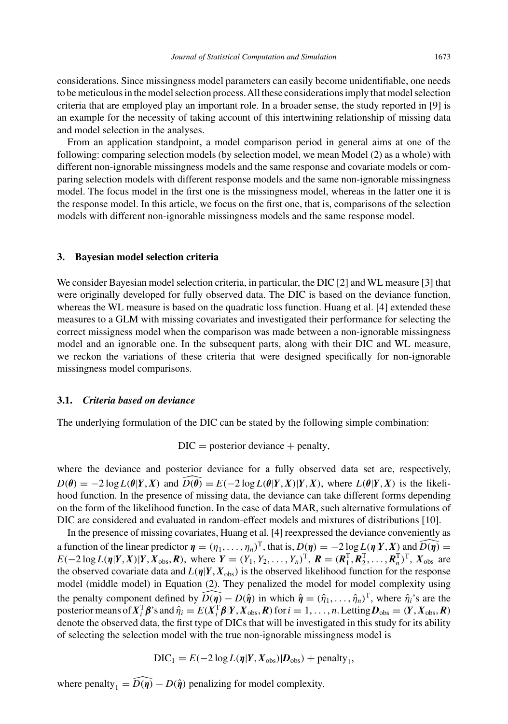considerations. Since missingness model parameters can easily become unidentifiable, one needs to be meticulous in the model selection process.All these considerations imply that model selection criteria that are employed play an important role. In a broader sense, the study reported in [\[9\]](#page-22-0) is an example for the necessity of taking account of this intertwining relationship of missing data and model selection in the analyses.

From an application standpoint, a model comparison period in general aims at one of the following: comparing selection models (by selection model, we mean Model [\(2\)](#page-3-0) as a whole) with different non-ignorable missingness models and the same response and covariate models or comparing selection models with different response models and the same non-ignorable missingness model. The focus model in the first one is the missingness model, whereas in the latter one it is the response model. In this article, we focus on the first one, that is, comparisons of the selection models with different non-ignorable missingness models and the same response model.

#### **3. Bayesian model selection criteria**

We consider Bayesian model selection criteria, in particular, the DIC [\[2](#page-22-0)] and WL measure [\[3\]](#page-22-0) that were originally developed for fully observed data. The DIC is based on the deviance function, whereas the WL measure is based on the quadratic loss function. Huang et al. [\[4\]](#page-22-0) extended these measures to a GLM with missing covariates and investigated their performance for selecting the correct missigness model when the comparison was made between a non-ignorable missingness model and an ignorable one. In the subsequent parts, along with their DIC and WL measure, we reckon the variations of these criteria that were designed specifically for non-ignorable missingness model comparisons.

#### **3.1.** *Criteria based on deviance*

The underlying formulation of the DIC can be stated by the following simple combination:

$$
DIC = posterior deviance + penalty,
$$

where the deviance and posterior deviance for a fully observed data set are, respectively,  $D(\theta) = -2 \log L(\theta|Y, X)$  and  $\overline{D(\theta)} = E(-2 \log L(\theta|Y, X)|Y, X)$ , where  $L(\theta|Y, X)$  is the likelihood function. In the presence of missing data, the deviance can take different forms depending on the form of the likelihood function. In the case of data MAR, such alternative formulations of DIC are considered and evaluated in random-effect models and mixtures of distributions [10]. [-](#page-22-0)

In the presence of missing covariates, Huang et al. [\[4\]](#page-22-0) reexpressed the deviance conveniently as a function of the linear predictor  $\eta = (\eta_1, \dots, \eta_n)^T$ , that is,  $D(\eta) = -2 \log L(\eta | Y, X)$  and  $\widehat{D(\eta)} =$  $E(-2\log L(\eta|Y,X)|Y,X_{obs},R)$ , where  $Y=(Y_1,Y_2,\ldots,Y_n)^T$ ,  $R=(R_1^T,R_2^T,\ldots,R_n^T)^T$ ,  $X_{obs}$  are the observed covariate data and  $L(\eta|Y, X_{obs})$  is the observed likelihood function for the response model (middle model) in Equation [\(2\)](#page-3-0). They penalized the model for model complexity using the penalty component defined by  $\widehat{D}(\eta) - D(\hat{\eta})$  in which  $\hat{\eta} = (\hat{\eta}_1, \dots, \hat{\eta}_n)^T$ , where  $\hat{\eta}_i$ 's are the posterior means of  $X_i^T \beta$ 's and  $\hat{\eta}_i = E(X_i^T \beta | Y, X_{obs}, R)$  for  $i = 1, ..., n$ . Letting  $D_{obs} = (Y, X_{obs}, R)$ denote the observed data, the first type of DICs that will be investigated in this study for its ability of selecting the selection model with the true non-ignorable missingness model is

$$
DIC_1 = E(-2 \log L(\eta | Y, X_{obs}) | D_{obs}) + penalty_1,
$$

where penalty<sub>1</sub> =  $\overline{D(\eta)} - D(\hat{\eta})$  penalizing for model complexity.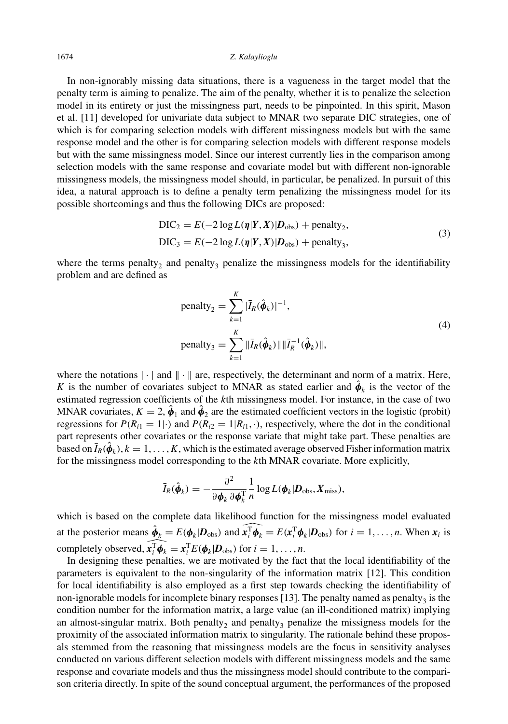In non-ignorably missing data situations, there is a vagueness in the target model that the penalty term is aiming to penalize. The aim of the penalty, whether it is to penalize the selection model in its entirety or just the missingness part, needs to be pinpointed. In this spirit, Mason et al. [\[11\]](#page-22-0) developed for univariate data subject to MNAR two separate DIC strategies, one of which is for comparing selection models with different missingness models but with the same response model and the other is for comparing selection models with different response models but with the same missingness model. Since our interest currently lies in the comparison among selection models with the same response and covariate model but with different non-ignorable missingness models, the missingness model should, in particular, be penalized. In pursuit of this idea, a natural approach is to define a penalty term penalizing the missingness model for its possible shortcomings and thus the following DICs are proposed:

$$
DIC2 = E(-2 log L(\eta|Y, X)|Dobs) + penalty2,DIC3 = E(-2 log L(\eta|Y, X)|Dobs) + penalty3,
$$
 (3)

where the terms penalty<sub>2</sub> and penalty<sub>3</sub> penalize the missingness models for the identifiability problem and are defined as

penalty<sub>2</sub> = 
$$
\sum_{k=1}^{K} |\bar{I}_R(\hat{\phi}_k)|^{-1}
$$
,  
penalty<sub>3</sub> =  $\sum_{k=1}^{K} \|\bar{I}_R(\hat{\phi}_k)\| \|\bar{I}_R^{-1}(\hat{\phi}_k)\|$ , (4)

where the notations  $|\cdot|$  and  $\|\cdot\|$  are, respectively, the determinant and norm of a matrix. Here, *K* is the number of covariates subject to MNAR as stated earlier and  $\hat{\phi}_k$  is the vector of the estimated regression coefficients of the *k*th missingness model. For instance, in the case of two MNAR covariates,  $K = 2$ ,  $\dot{\phi}_1$  and  $\dot{\phi}_2$  are the estimated coefficient vectors in the logistic (probit) regressions for  $P(R_{i1} = 1|\cdot)$  and  $P(R_{i2} = 1|R_{i1}, \cdot)$ , respectively, where the dot in the conditional part represents other covariates or the response variate that might take part. These penalties are based on  $I_R(\phi_k)$ ,  $k = 1, \ldots, K$ , which is the estimated average observed Fisher information matrix for the missingness model corresponding to the *k*th MNAR covariate. More explicitly,

$$
\bar{I}_R(\hat{\boldsymbol{\phi}}_k) = -\frac{\partial^2}{\partial \boldsymbol{\phi}_k \partial \boldsymbol{\phi}_k^{\mathrm{T}}} \frac{1}{n} \log L(\boldsymbol{\phi}_k | \boldsymbol{D}_{\mathrm{obs}}, \boldsymbol{X}_{\mathrm{miss}}),
$$

which is based on the complete data likelihood function for the missingness model evaluated at the posterior means  $\hat{\phi}_k = E(\phi_k | \mathbf{D}_{obs})$  and  $\widehat{\mathbf{x}_i^{\mathrm{T}} \phi_k} = E(\mathbf{x}_i^{\mathrm{T}} \phi_k | \mathbf{D}_{obs})$  for  $i = 1, ..., n$ . When  $\mathbf{x}_i$  is completely observed,  $\mathbf{x}_i^{\mathrm{T}} \boldsymbol{\phi}_k = \mathbf{x}_i^{\mathrm{T}} E(\boldsymbol{\phi}_k | \mathbf{D}_{\text{obs}})$  for  $i = 1, \ldots, n$ .

In designing these penalties, we are motivated by the fact that the local identifiability of the parameters is equivalent to the non-singularity of the information matrix [\[12\]](#page-22-0). This condition for local identifiability is also employed as a first step towards checking the identifiability of non-ignorable models for incomplete binary responses [\[13\]](#page-22-0). The penalty named as penalty<sub>3</sub> is the condition number for the information matrix, a large value (an ill-conditioned matrix) implying an almost-singular matrix. Both penalty<sub>2</sub> and penalty<sub>3</sub> penalize the missigness models for the proximity of the associated information matrix to singularity. The rationale behind these proposals stemmed from the reasoning that missingness models are the focus in sensitivity analyses conducted on various different selection models with different missingness models and the same response and covariate models and thus the missingness model should contribute to the comparison criteria directly. In spite of the sound conceptual argument, the performances of the proposed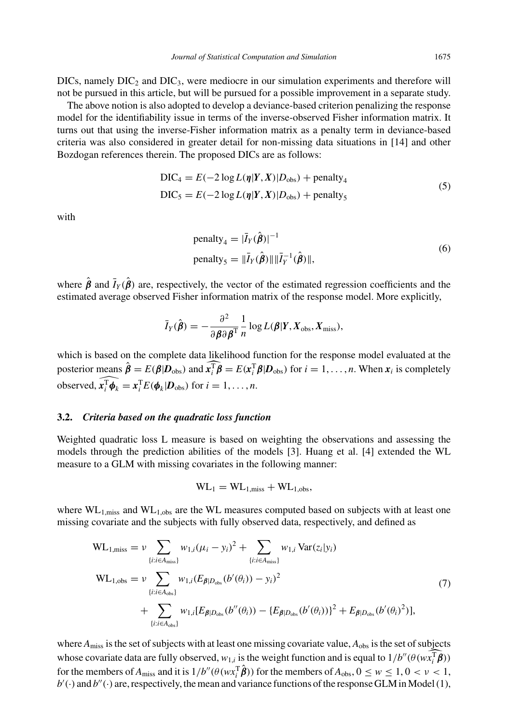DICs, namely  $DIC_2$  and  $DIC_3$ , were mediocre in our simulation experiments and therefore will not be pursued in this article, but will be pursued for a possible improvement in a separate study.

The above notion is also adopted to develop a deviance-based criterion penalizing the response model for the identifiability issue in terms of the inverse-observed Fisher information matrix. It turns out that using the inverse-Fisher information matrix as a penalty term in deviance-based criteria was also considered in greater detail for non-missing data situations in [\[14](#page-22-0)] and other Bozdogan references therein. The proposed DICs are as follows:

$$
DIC_4 = E(-2 \log L(\eta|Y, X)|D_{\text{obs}}) + \text{penalty}_4
$$
  
 
$$
DIC_5 = E(-2 \log L(\eta|Y, X)|D_{\text{obs}}) + \text{penalty}_5
$$
 (5)

with

penalty<sub>4</sub> = 
$$
|\bar{I}_Y(\hat{\boldsymbol{\beta}})|^{-1}
$$
  
penalty<sub>5</sub> =  $\|\bar{I}_Y(\hat{\boldsymbol{\beta}})\| \|\bar{I}_Y^{-1}(\hat{\boldsymbol{\beta}})\|,$  (6)

where  $\hat{\beta}$  and  $\bar{I}_Y(\hat{\beta})$  are, respectively, the vector of the estimated regression coefficients and the estimated average observed Fisher information matrix of the response model. More explicitly,

$$
\bar{I}_{Y}(\hat{\boldsymbol{\beta}}) = -\frac{\partial^2}{\partial \boldsymbol{\beta} \partial \boldsymbol{\beta}^{\mathrm{T}}} \frac{1}{n} \log L(\boldsymbol{\beta}|Y, X_{\mathrm{obs}}, X_{\mathrm{miss}}),
$$

which is based on the complete data likelihood function for the response model evaluated at the posterior means  $\hat{\boldsymbol{\beta}} = E(\boldsymbol{\beta}|\boldsymbol{D}_{\text{obs}})$  and  $\widehat{\boldsymbol{x}_i^{\text{T}}\boldsymbol{\beta}} = E(\boldsymbol{x}_i^{\text{T}}\boldsymbol{\beta}|\boldsymbol{D}_{\text{obs}})$  for  $i = 1, ..., n$ . When  $\boldsymbol{x}_i$  is completely observed,  $\mathbf{x}_i^{\mathrm{T}} \boldsymbol{\phi}_k = \mathbf{x}_i^{\mathrm{T}} E(\boldsymbol{\phi}_k | \mathbf{D}_{\text{obs}})$  for  $i = 1, \ldots, n$ .

#### **3.2.** *Criteria based on the quadratic loss function*

Weighted quadratic loss L measure is based on weighting the observations and assessing the models through the prediction abilities of the models [\[3](#page-22-0)]. Huang et al. [\[4](#page-22-0)] extended the WL measure to a GLM with missing covariates in the following manner:

$$
WL_1 = WL_{1,miss} + WL_{1,obs},
$$

where  $WL_{1,miss}$  and  $WL_{1,obs}$  are the WL measures computed based on subjects with at least one missing covariate and the subjects with fully observed data, respectively, and defined as

$$
WL_{1,\text{miss}} = \nu \sum_{\{i:i \in A_{\text{miss}}\}} w_{1,i} (\mu_i - y_i)^2 + \sum_{\{i:i \in A_{\text{miss}}\}} w_{1,i} \text{Var}(z_i|y_i)
$$
  
\n
$$
WL_{1,\text{obs}} = \nu \sum_{\{i:i \in A_{\text{obs}}\}} w_{1,i} (E_{\beta|D_{\text{obs}}}(b'(\theta_i)) - y_i)^2 + \sum_{\{i:i \in A_{\text{obs}}\}} w_{1,i} [E_{\beta|D_{\text{obs}}}(b''(\theta_i)) - \{E_{\beta|D_{\text{obs}}}(b'(\theta_i))\}^2 + E_{\beta|D_{\text{obs}}}(b'(\theta_i)^2)],
$$
\n(7)

where  $A_{\text{miss}}$  is the set of subjects with at least one missing covariate value,  $A_{\text{obs}}$  is the set of subjects whose covariate data are fully observed,  $w_{1,i}$  is the weight function and is equal to  $1/b''(\theta(wx_i^T \boldsymbol{\beta}))$ for the members of  $A_{\text{miss}}$  and it is  $1/b''(\theta(wx_i^T\hat{\boldsymbol{\beta}}))$  for the members of  $A_{\text{obs}}$ ,  $0 \le w \le 1$ ,  $0 < v < 1$ ,  $b'(\cdot)$  and  $b''(\cdot)$  are, respectively, the mean and variance functions of the response GLM in Model [\(1\)](#page-3-0),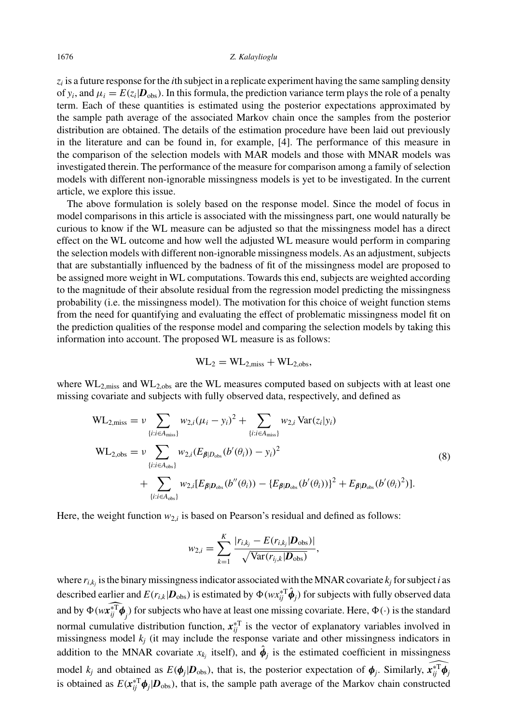$z_i$  is a future response for the *i*th subject in a replicate experiment having the same sampling density of  $y_i$ , and  $\mu_i = E(z_i|\mathbf{D}_{obs})$ . In this formula, the prediction variance term plays the role of a penalty term. Each of these quantities is estimated using the posterior expectations approximated by the sample path average of the associated Markov chain once the samples from the posterior distribution are obtained. The details of the estimation procedure have been laid out previously in the literature and can be found in, for example, [\[4\]](#page-22-0). The performance of this measure in the comparison of the selection models with MAR models and those with MNAR models was investigated therein. The performance of the measure for comparison among a family of selection models with different non-ignorable missingness models is yet to be investigated. In the current article, we explore this issue.

The above formulation is solely based on the response model. Since the model of focus in model comparisons in this article is associated with the missingness part, one would naturally be curious to know if the WL measure can be adjusted so that the missingness model has a direct effect on the WL outcome and how well the adjusted WL measure would perform in comparing the selection models with different non-ignorable missingness models. As an adjustment, subjects that are substantially influenced by the badness of fit of the missingness model are proposed to be assigned more weight in WL computations. Towards this end, subjects are weighted according to the magnitude of their absolute residual from the regression model predicting the missingness probability (i.e. the missingness model). The motivation for this choice of weight function stems from the need for quantifying and evaluating the effect of problematic missingness model fit on the prediction qualities of the response model and comparing the selection models by taking this information into account. The proposed WL measure is as follows:

$$
WL_2 = WL_{2,miss} + WL_{2,obs},
$$

where  $\rm WL_{2,miss}$  and  $\rm WL_{2,obs}$  are the WL measures computed based on subjects with at least one missing covariate and subjects with fully observed data, respectively, and defined as

$$
WL_{2,\text{miss}} = \nu \sum_{\{i:i \in A_{\text{miss}}\}} w_{2,i} (\mu_i - y_i)^2 + \sum_{\{i:i \in A_{\text{miss}}\}} w_{2,i} \text{Var}(z_i|y_i)
$$
  
\n
$$
WL_{2,\text{obs}} = \nu \sum_{\{i:i \in A_{\text{obs}}\}} w_{2,i} (E_{\beta|D_{\text{obs}}}(b'(\theta_i)) - y_i)^2
$$
  
\n
$$
+ \sum_{\{i:i \in A_{\text{obs}}\}} w_{2,i} [E_{\beta|D_{\text{obs}}}(b''(\theta_i)) - \{E_{\beta|D_{\text{obs}}}(b'(\theta_i))\}^2 + E_{\beta|D_{\text{obs}}}(b'(\theta_i)^2)].
$$
\n(8)

Here, the weight function  $w_{2,i}$  is based on Pearson's residual and defined as follows:

$$
w_{2,i} = \sum_{k=1}^{K} \frac{|r_{i,k_j} - E(r_{i,k_j}|\bm{D}_{obs})|}{\sqrt{\text{Var}(r_{i_j,k}|\bm{D}_{obs})}},
$$

where  $r_{i,k_i}$  is the binary missingness indicator associated with the MNAR covariate  $k_i$  for subject *i* as described earlier and  $E(r_{i,k}|\bm{D}_{\rm obs})$  is estimated by  $\Phi(wx_{ij}^{*T}\hat{\bm{\phi}}_j)$  for subjects with fully observed data and by  $\Phi(wx_{ij}^{*T}\phi_j)$  for subjects who have at least one missing covariate. Here,  $\Phi(\cdot)$  is the standard normal cumulative distribution function,  $x_{ij}^{*T}$  is the vector of explanatory variables involved in missingness model  $k_j$  (it may include the response variate and other missingness indicators in addition to the MNAR covariate  $x_{k_i}$  itself), and  $\hat{\phi}_j$  is the estimated coefficient in missingness model *k<sub>j</sub>* and obtained as  $E(\phi_j|D_{obs})$ , that is, the posterior expectation of  $\phi_j$ . Similarly,  $x_{ij}^{*T}\phi_j$ is obtained as  $E(\mathbf{x}_{ij}^{*T} \boldsymbol{\phi}_j | \mathbf{D}_{obs})$ , that is, the sample path average of the Markov chain constructed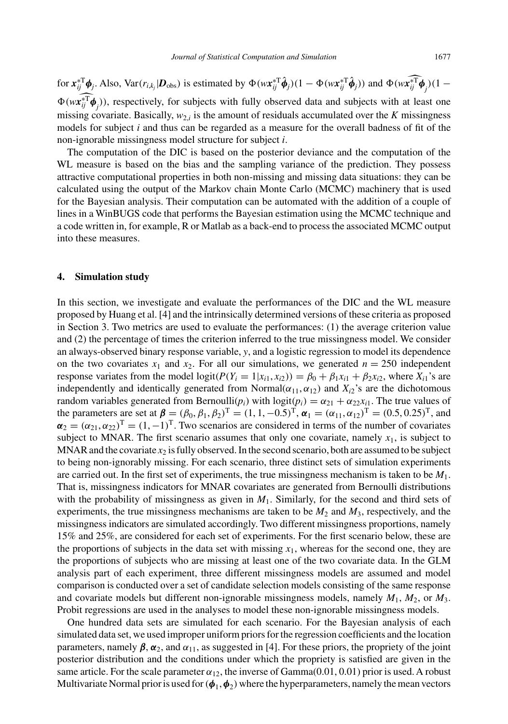for  $x_{ij}^{*T}\phi_j$ . Also, Var $(r_{i,k_j}|\mathbf{D}_{obs})$  is estimated by  $\Phi(wx_{ij}^{*T}\hat{\phi}_j)(1 - \Phi(wx_{ij}^{*T}\hat{\phi}_j))$  and  $\Phi(wx_{ij}^{*T}\phi_j)(1 \Phi(w\mathbf{x}_{ij}^{*T}\boldsymbol{\phi}_j)$ ), respectively, for subjects with fully observed data and subjects with at least one missing covariate. Basically,  $w_{2,i}$  is the amount of residuals accumulated over the *K* missingness models for subject *i* and thus can be regarded as a measure for the overall badness of fit of the non-ignorable missingness model structure for subject *i*.

The computation of the DIC is based on the posterior deviance and the computation of the WL measure is based on the bias and the sampling variance of the prediction. They possess attractive computational properties in both non-missing and missing data situations: they can be calculated using the output of the Markov chain Monte Carlo (MCMC) machinery that is used for the Bayesian analysis. Their computation can be automated with the addition of a couple of lines in a WinBUGS code that performs the Bayesian estimation using the MCMC technique and a code written in, for example, R or Matlab as a back-end to process the associated MCMC output into these measures.

#### **4. Simulation study**

In this section, we investigate and evaluate the performances of the DIC and the WL measure proposed by Huang et al. [\[4\]](#page-22-0) and the intrinsically determined versions of these criteria as proposed in Section 3. Two metrics are used to evaluate the performances: (1) the average criterion value and (2) the percentage of times the criterion inferred to the true missingness model. We consider an always-observed binary response variable, *y*, and a logistic regression to model its dependence on the two covariates  $x_1$  and  $x_2$ . For all our simulations, we generated  $n = 250$  independent response variates from the model logit $(P(Y_i = 1 | x_{i1}, x_{i2})) = \beta_0 + \beta_1 x_{i1} + \beta_2 x_{i2}$ , where  $X_{i1}$ 's are independently and identically generated from Normal $(\alpha_{11}, \alpha_{12})$  and  $X_{i2}$ 's are the dichotomous random variables generated from Bernoulli $(p_i)$  with  $logit(p_i) = \alpha_{21} + \alpha_{22}x_{i1}$ . The true values of the parameters are set at  $\beta = (\beta_0, \beta_1, \beta_2)^T = (1, 1, -0.5)^T$ ,  $\alpha_1 = (\alpha_{11}, \alpha_{12})^T = (0.5, 0.25)^T$ , and  $\alpha_2 = (\alpha_{21}, \alpha_{22})^T = (1, -1)^T$ . Two scenarios are considered in terms of the number of covariates subject to MNAR. The first scenario assumes that only one covariate, namely  $x_1$ , is subject to MNAR and the covariate  $x_2$  is fully observed. In the second scenario, both are assumed to be subject to being non-ignorably missing. For each scenario, three distinct sets of simulation experiments are carried out. In the first set of experiments, the true missingness mechanism is taken to be *M*1. That is, missingness indicators for MNAR covariates are generated from Bernoulli distributions with the probability of missingness as given in *M*1. Similarly, for the second and third sets of experiments, the true missingness mechanisms are taken to be  $M_2$  and  $M_3$ , respectively, and the missingness indicators are simulated accordingly. Two different missingness proportions, namely 15% and 25%, are considered for each set of experiments. For the first scenario below, these are the proportions of subjects in the data set with missing  $x_1$ , whereas for the second one, they are the proportions of subjects who are missing at least one of the two covariate data. In the GLM analysis part of each experiment, three different missingness models are assumed and model comparison is conducted over a set of candidate selection models consisting of the same response and covariate models but different non-ignorable missingness models, namely *M*1, *M*2, or *M*3. Probit regressions are used in the analyses to model these non-ignorable missingness models.

One hundred data sets are simulated for each scenario. For the Bayesian analysis of each simulated data set, we used improper uniform priors for the regression coefficients and the location parameters, namely  $\beta$ ,  $\alpha_2$ , and  $\alpha_{11}$ , as suggested in [\[4](#page-22-0)]. For these priors, the propriety of the joint posterior distribution and the conditions under which the propriety is satisfied are given in the same article. For the scale parameter  $\alpha_{12}$ , the inverse of Gamma $(0.01, 0.01)$  prior is used. A robust Multivariate Normal prior is used for  $(\phi_1, \phi_2)$  where the hyperparameters, namely the mean vectors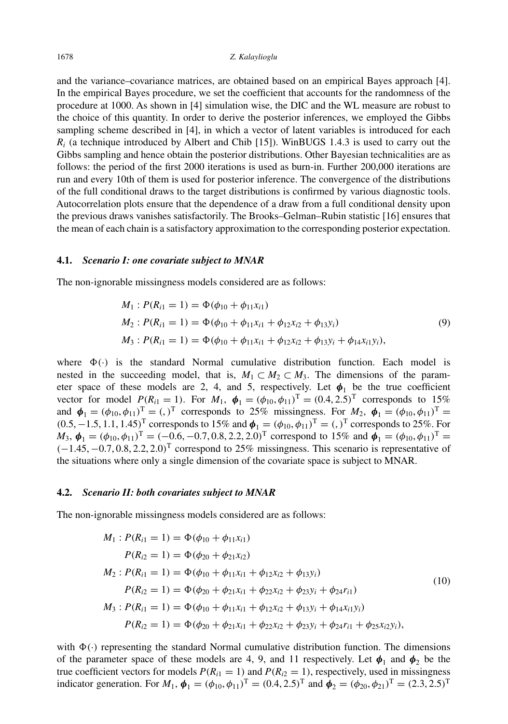and the variance–covariance matrices, are obtained based on an empirical Bayes approach [\[4](#page-22-0)]. In the empirical Bayes procedure, we set the coefficient that accounts for the randomness of the procedure at 1000. As shown in [\[4](#page-22-0)] simulation wise, the DIC and the WL measure are robust to the choice of this quantity. In order to derive the posterior inferences, we employed the Gibbs sampling scheme described in [\[4](#page-22-0)], in which a vector of latent variables is introduced for each *Ri* (a technique introduced by Albert and Chib [\[15](#page-22-0)]). WinBUGS 1.4.3 is used to carry out the Gibbs sampling and hence obtain the posterior distributions. Other Bayesian technicalities are as follows: the period of the first 2000 iterations is used as burn-in. Further 200,000 iterations are run and every 10th of them is used for posterior inference. The convergence of the distributions of the full conditional draws to the target distributions is confirmed by various diagnostic tools. Autocorrelation plots ensure that the dependence of a draw from a full conditional density upon the previous draws vanishes satisfactorily. The Brooks–Gelman–Rubin statistic [\[16\]](#page-22-0) ensures that the mean of each chain is a satisfactory approximation to the corresponding posterior expectation.

#### **4.1.** *Scenario I: one covariate subject to MNAR*

The non-ignorable missingness models considered are as follows:

$$
M_1: P(R_{i1} = 1) = \Phi(\phi_{10} + \phi_{11}x_{i1})
$$
  
\n
$$
M_2: P(R_{i1} = 1) = \Phi(\phi_{10} + \phi_{11}x_{i1} + \phi_{12}x_{i2} + \phi_{13}y_i)
$$
  
\n
$$
M_3: P(R_{i1} = 1) = \Phi(\phi_{10} + \phi_{11}x_{i1} + \phi_{12}x_{i2} + \phi_{13}y_i + \phi_{14}x_{i1}y_i),
$$
\n(9)

where  $\Phi(\cdot)$  is the standard Normal cumulative distribution function. Each model is nested in the succeeding model, that is,  $M_1 \subset M_2 \subset M_3$ . The dimensions of the parameter space of these models are 2, 4, and 5, respectively. Let  $\phi_1$  be the true coefficient vector for model  $P(R_{i1} = 1)$ . For  $M_1$ ,  $\phi_1 = (\phi_{10}, \phi_{11})^T = (0.4, 2.5)^T$  corresponds to 15% and  $\phi_1 = (\phi_{10}, \phi_{11})^T = (,)^T$  corresponds to 25% missingness. For  $M_2$ ,  $\phi_1 = (\phi_{10}, \phi_{11})^T =$  $(0.5, -1.5, 1.1, 1.45)^T$  corresponds to 15% and  $\phi_1 = (\phi_{10}, \phi_{11})^T = (,)^T$  corresponds to 25%. For *M*<sub>3</sub>,  $\phi_1 = (\phi_{10}, \phi_{11})^T = (-0.6, -0.7, 0.8, 2.2, 2.0)^T$  correspond to 15% and  $\phi_1 = (\phi_{10}, \phi_{11})^T =$ *(*−1.45, −0.7, 0.8, 2.2, 2.0*)*<sup>T</sup> correspond to 25% missingness. This scenario is representative of the situations where only a single dimension of the covariate space is subject to MNAR.

#### **4.2.** *Scenario II: both covariates subject to MNAR*

The non-ignorable missingness models considered are as follows:

$$
M_1: P(R_{i1} = 1) = \Phi(\phi_{10} + \phi_{11}x_{i1})
$$
  
\n
$$
P(R_{i2} = 1) = \Phi(\phi_{20} + \phi_{21}x_{i2})
$$
  
\n
$$
M_2: P(R_{i1} = 1) = \Phi(\phi_{10} + \phi_{11}x_{i1} + \phi_{12}x_{i2} + \phi_{13}y_i)
$$
  
\n
$$
P(R_{i2} = 1) = \Phi(\phi_{20} + \phi_{21}x_{i1} + \phi_{22}x_{i2} + \phi_{23}y_i + \phi_{24}r_{i1})
$$
  
\n
$$
M_3: P(R_{i1} = 1) = \Phi(\phi_{10} + \phi_{11}x_{i1} + \phi_{12}x_{i2} + \phi_{13}y_i + \phi_{14}x_{i1}y_i)
$$
  
\n
$$
P(R_{i2} = 1) = \Phi(\phi_{20} + \phi_{21}x_{i1} + \phi_{22}x_{i2} + \phi_{23}y_i + \phi_{24}r_{i1} + \phi_{25}x_{i2}y_i),
$$
  
\n(10)

with  $\Phi(\cdot)$  representing the standard Normal cumulative distribution function. The dimensions of the parameter space of these models are 4, 9, and 11 respectively. Let  $\phi_1$  and  $\phi_2$  be the true coefficient vectors for models  $P(R_{i1} = 1)$  and  $P(R_{i2} = 1)$ , respectively, used in missingness indicator generation. For  $M_1$ ,  $\phi_1 = (\phi_{10}, \phi_{11})^T = (0.4, 2.5)^T$  and  $\phi_2 = (\phi_{20}, \phi_{21})^T = (2.3, 2.5)^T$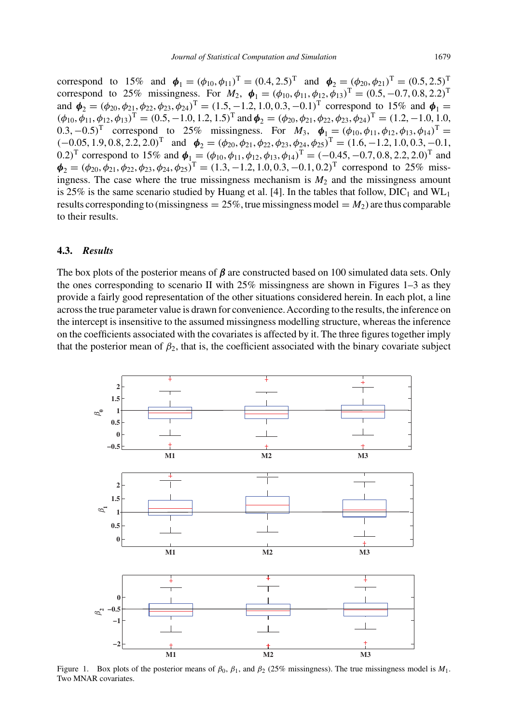correspond to 15% and  $\phi_1 = (\phi_{10}, \phi_{11})^T = (0.4, 2.5)^T$  and  $\phi_2 = (\phi_{20}, \phi_{21})^T = (0.5, 2.5)^T$ correspond to 25% missingness. For  $M_2$ ,  $\phi_1 = (\phi_{10}, \phi_{11}, \phi_{12}, \phi_{13})^T = (0.5, -0.7, 0.8, 2.2)^T$ and  $\phi_2 = (\phi_{20}, \phi_{21}, \phi_{22}, \phi_{23}, \phi_{24})^T = (1.5, -1.2, 1.0, 0.3, -0.1)^T$  correspond to 15% and  $\phi_1 =$ *(φ*10, *φ*11, *φ*12, *φ*13*)*<sup>T</sup> = *(*0.5, −1.0, 1.2, 1.5*)*<sup>T</sup> and *φ*<sup>2</sup> = *(φ*20, *φ*21, *φ*22, *φ*23, *φ*24*)*<sup>T</sup> = *(*1.2, −1.0, 1.0, 0.3, -0.5)<sup>T</sup> correspond to 25% missingness. For  $M_3$ ,  $\phi_1 = (\phi_{10}, \phi_{11}, \phi_{12}, \phi_{13}, \phi_{14})^T =$  $(-0.05, 1.9, 0.8, 2.2, 2.0)^T$  and  $\boldsymbol{\phi}_2 = (\phi_{20}, \phi_{21}, \phi_{22}, \phi_{23}, \phi_{24}, \phi_{25})^T = (1.6, -1.2, 1.0, 0.3, -0.1, 0.0)$ 0.2<sup>T</sup> correspond to 15% and  $\phi_1 = (\phi_{10}, \phi_{11}, \phi_{12}, \phi_{13}, \phi_{14})^T = (-0.45, -0.7, 0.8, 2.2, 2.0)^T$  and  $\phi_2 = (\phi_{20}, \phi_{21}, \phi_{22}, \phi_{23}, \phi_{24}, \phi_{25})^T = (1.3, -1.2, 1.0, 0.3, -0.1, 0.2)^T$  correspond to 25% missingness. The case where the true missingness mechanism is  $M_2$  and the missingness amount is 25% is the same scenario studied by Huang et al. [\[4\]](#page-22-0). In the tables that follow,  $DIC<sub>1</sub>$  and  $WL<sub>1</sub>$ results corresponding to (missingness  $= 25\%$ , true missingness model  $= M_2$ ) are thus comparable to their results.

### **4.3.** *Results*

The box plots of the posterior means of *β* are constructed based on 100 simulated data sets. Only the ones corresponding to scenario II with 25% missingness are shown in Figures 1[–3](#page-12-0) as they provide a fairly good representation of the other situations considered herein. In each plot, a line across the true parameter value is drawn for convenience.According to the results, the inference on the intercept is insensitive to the assumed missingness modelling structure, whereas the inference on the coefficients associated with the covariates is affected by it. The three figures together imply that the posterior mean of  $\beta_2$ , that is, the coefficient associated with the binary covariate subject



Figure 1. Box plots of the posterior means of *β*0, *β*1, and *β*<sup>2</sup> (25% missingness). The true missingness model is *M*1. Two MNAR covariates.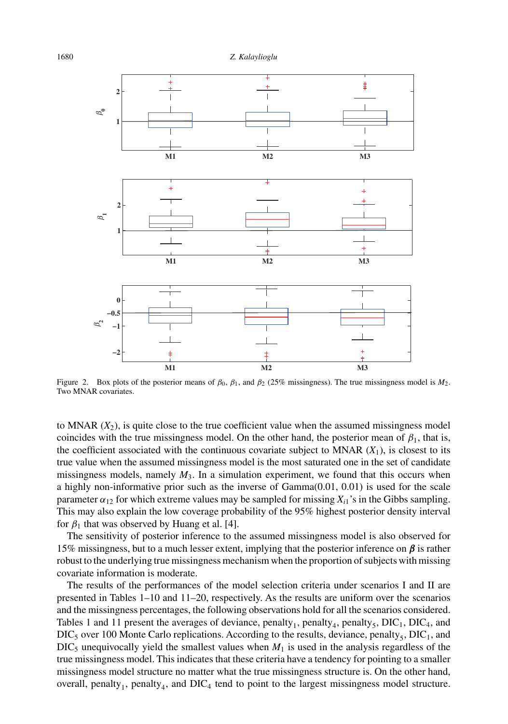

Figure 2. Box plots of the posterior means of *β*0, *β*1, and *β*<sup>2</sup> (25% missingness). The true missingness model is *M*2. Two MNAR covariates.

to MNAR  $(X_2)$ , is quite close to the true coefficient value when the assumed missingness model coincides with the true missingness model. On the other hand, the posterior mean of  $\beta_1$ , that is, the coefficient associated with the continuous covariate subject to MNAR  $(X_1)$ , is closest to its true value when the assumed missingness model is the most saturated one in the set of candidate missingness models, namely  $M_3$ . In a simulation experiment, we found that this occurs when a highly non-informative prior such as the inverse of Gamma(0.01, 0.01) is used for the scale parameter  $\alpha_{12}$  for which extreme values may be sampled for missing  $X_{i1}$ 's in the Gibbs sampling. This may also explain the low coverage probability of the 95% highest posterior density interval for  $\beta_1$  that was observed by Huang et al. [\[4\]](#page-22-0).

The sensitivity of posterior inference to the assumed missingness model is also observed for 15% missingness, but to a much lesser extent, implying that the posterior inference on *β* is rather robust to the underlying true missingness mechanism when the proportion of subjects with missing covariate information is moderate.

The results of the performances of the model selection criteria under scenarios I and II are presented in Tables [1](#page-12-0)[–10](#page-16-0) and [11](#page-17-0)[–20,](#page-21-0) respectively. As the results are uniform over the scenarios and the missingness percentages, the following observations hold for all the scenarios considered. Tables [1](#page-12-0) and [11](#page-17-0) present the averages of deviance, penalty<sub>1</sub>, penalty<sub>4</sub>, penalty<sub>5</sub>, DIC<sub>1</sub>, DIC<sub>4</sub>, and  $DIC<sub>5</sub> over 100 Monte Carlo replications. According to the results, deviance, penalty<sub>5</sub>,  $DIC<sub>1</sub>$ , and$  $DIC<sub>5</sub>$  unequivocally yield the smallest values when  $M<sub>1</sub>$  is used in the analysis regardless of the true missingness model. This indicates that these criteria have a tendency for pointing to a smaller missingness model structure no matter what the true missingness structure is. On the other hand, overall, penalty<sub>1</sub>, penalty<sub>4</sub>, and DIC<sub>4</sub> tend to point to the largest missingness model structure.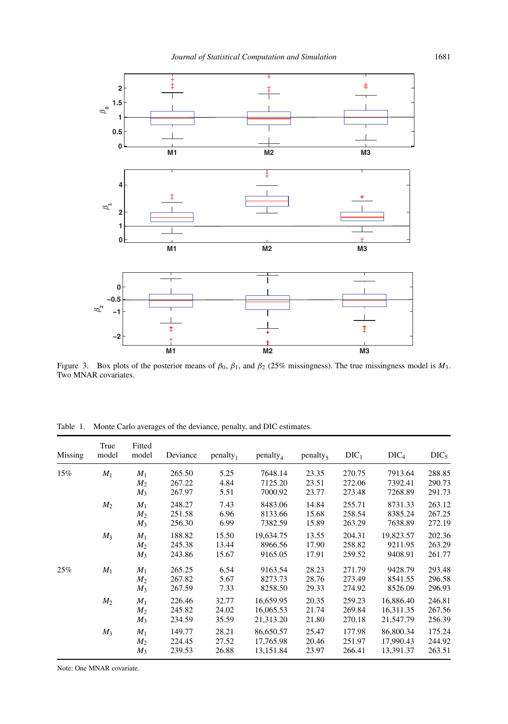<span id="page-12-0"></span>

Figure 3. Box plots of the posterior means of  $\beta_0$ ,  $\beta_1$ , and  $\beta_2$  (25% missingness). The true missingness model is  $M_3$ . Two MNAR covariates.

Table 1. Monte Carlo averages of the deviance, penalty, and DIC estimates.

| Missing | True<br>model  | Fitted<br>model                  | Deviance                   | penalty <sub>1</sub>    | penalty <sub>4</sub>                | penalty <sub>5</sub>    | DIC <sub>1</sub>           | DIC <sub>4</sub>                    | DIC <sub>5</sub>           |
|---------|----------------|----------------------------------|----------------------------|-------------------------|-------------------------------------|-------------------------|----------------------------|-------------------------------------|----------------------------|
| 15%     | $M_1$          | $M_1$<br>M <sub>2</sub><br>$M_3$ | 265.50<br>267.22<br>267.97 | 5.25<br>4.84<br>5.51    | 7648.14<br>7125.20<br>7000.92       | 23.35<br>23.51<br>23.77 | 270.75<br>272.06<br>273.48 | 7913.64<br>7392.41<br>7268.89       | 288.85<br>290.73<br>291.73 |
|         | M <sub>2</sub> | $M_1$<br>M <sub>2</sub><br>$M_3$ | 248.27<br>251.58<br>256.30 | 7.43<br>6.96<br>6.99    | 8483.06<br>8133.66<br>7382.59       | 14.84<br>15.68<br>15.89 | 255.71<br>258.54<br>263.29 | 8731.33<br>8385.24<br>7638.89       | 263.12<br>267.25<br>272.19 |
|         | $M_3$          | $M_1$<br>M <sub>2</sub><br>$M_3$ | 188.82<br>245.38<br>243.86 | 15.50<br>13.44<br>15.67 | 19,634.75<br>8966.56<br>9165.05     | 13.55<br>17.90<br>17.91 | 204.31<br>258.82<br>259.52 | 19,823.57<br>9211.95<br>9408.91     | 202.36<br>263.29<br>261.77 |
| 25%     | $M_1$          | $M_1$<br>M <sub>2</sub><br>$M_3$ | 265.25<br>267.82<br>267.59 | 6.54<br>5.67<br>7.33    | 9163.54<br>8273.73<br>8258.50       | 28.23<br>28.76<br>29.33 | 271.79<br>273.49<br>274.92 | 9428.79<br>8541.55<br>8526.09       | 293.48<br>296.58<br>296.93 |
|         | M <sub>2</sub> | $M_1$<br>M <sub>2</sub><br>$M_3$ | 226.46<br>245.82<br>234.59 | 32.77<br>24.02<br>35.59 | 16.659.95<br>16,065.53<br>21,313.20 | 20.35<br>21.74<br>21.80 | 259.23<br>269.84<br>270.18 | 16,886.40<br>16,311.35<br>21,547.79 | 246.81<br>267.56<br>256.39 |
|         | $M_3$          | $M_1$<br>M <sub>2</sub><br>$M_3$ | 149.77<br>224.45<br>239.53 | 28.21<br>27.52<br>26.88 | 86,650.57<br>17,765.98<br>13,151.84 | 25.47<br>20.46<br>23.97 | 177.98<br>251.97<br>266.41 | 86,800.34<br>17,990.43<br>13,391.37 | 175.24<br>244.92<br>263.51 |

Note: One MNAR covariate.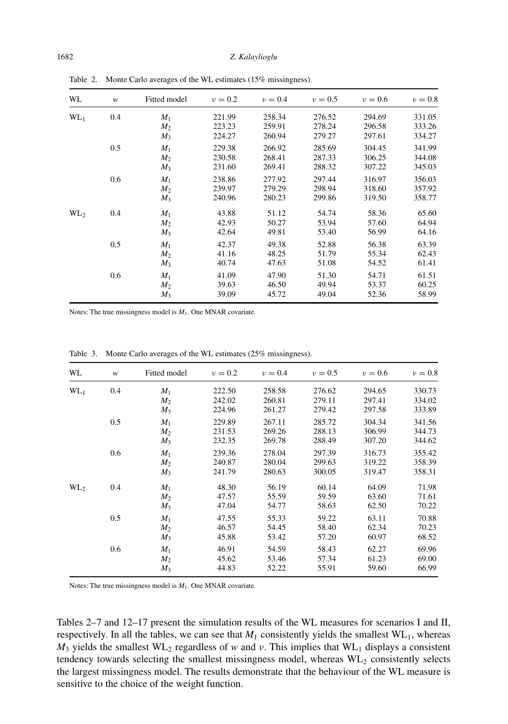| WL              | w   | Fitted model   | $\nu = 0.2$ | $\nu = 0.4$ | $\nu = 0.5$ | $\nu = 0.6$ | $\nu = 0.8$ |
|-----------------|-----|----------------|-------------|-------------|-------------|-------------|-------------|
| WL <sub>1</sub> | 0.4 | $M_1$          | 221.99      | 258.34      | 276.52      | 294.69      | 331.05      |
|                 |     | M <sub>2</sub> | 223.23      | 259.91      | 278.24      | 296.58      | 333.26      |
|                 |     | $M_3$          | 224.27      | 260.94      | 279.27      | 297.61      | 334.27      |
|                 | 0.5 | $M_1$          | 229.38      | 266.92      | 285.69      | 304.45      | 341.99      |
|                 |     | M <sub>2</sub> | 230.58      | 268.41      | 287.33      | 306.25      | 344.08      |
|                 |     | $M_3$          | 231.60      | 269.41      | 288.32      | 307.22      | 345.03      |
|                 | 0.6 | $M_1$          | 238.86      | 277.92      | 297.44      | 316.97      | 356.03      |
|                 |     | M <sub>2</sub> | 239.97      | 279.29      | 298.94      | 318.60      | 357.92      |
|                 |     | $M_3$          | 240.96      | 280.23      | 299.86      | 319.50      | 358.77      |
| WL <sub>2</sub> | 0.4 | $M_1$          | 43.88       | 51.12       | 54.74       | 58.36       | 65.60       |
|                 |     | M <sub>2</sub> | 42.93       | 50.27       | 53.94       | 57.60       | 64.94       |
|                 |     | $M_3$          | 42.64       | 49.81       | 53.40       | 56.99       | 64.16       |
|                 | 0.5 | $M_1$          | 42.37       | 49.38       | 52.88       | 56.38       | 63.39       |
|                 |     | M <sub>2</sub> | 41.16       | 48.25       | 51.79       | 55.34       | 62.43       |
|                 |     | $M_3$          | 40.74       | 47.63       | 51.08       | 54.52       | 61.41       |
|                 | 0.6 | $M_1$          | 41.09       | 47.90       | 51.30       | 54.71       | 61.51       |
|                 |     | M <sub>2</sub> | 39.63       | 46.50       | 49.94       | 53.37       | 60.25       |
|                 |     | $M_3$          | 39.09       | 45.72       | 49.04       | 52.36       | 58.99       |

Table 2. Monte Carlo averages of the WL estimates (15% missingness).

Notes: The true missingness model is *M*1. One MNAR covariate.

| WL              | w   | Fitted model                     | $\nu = 0.2$                | $\nu = 0.4$                | $\nu = 0.5$                | $\nu = 0.6$                | $\nu = 0.8$                |
|-----------------|-----|----------------------------------|----------------------------|----------------------------|----------------------------|----------------------------|----------------------------|
| WL <sub>1</sub> | 0.4 | $M_1$<br>M <sub>2</sub><br>$M_3$ | 222.50<br>242.02<br>224.96 | 258.58<br>260.81<br>261.27 | 276.62<br>279.11<br>279.42 | 294.65<br>297.41<br>297.58 | 330.73<br>334.02<br>333.89 |
|                 | 0.5 | $M_1$<br>M <sub>2</sub><br>$M_3$ | 229.89<br>231.53<br>232.35 | 267.11<br>269.26<br>269.78 | 285.72<br>288.13<br>288.49 | 304.34<br>306.99<br>307.20 | 341.56<br>344.73<br>344.62 |
|                 | 0.6 | $M_1$<br>M <sub>2</sub><br>$M_3$ | 239.36<br>240.87<br>241.79 | 278.04<br>280.04<br>280.63 | 297.39<br>299.63<br>300.05 | 316.73<br>319.22<br>319.47 | 355.42<br>358.39<br>358.31 |
| WL <sub>2</sub> | 0.4 | $M_1$<br>M <sub>2</sub><br>$M_3$ | 48.30<br>47.57<br>47.04    | 56.19<br>55.59<br>54.77    | 60.14<br>59.59<br>58.63    | 64.09<br>63.60<br>62.50    | 71.98<br>71.61<br>70.22    |
|                 | 0.5 | $M_1$<br>$M_2$<br>$M_3$          | 47.55<br>46.57<br>45.88    | 55.33<br>54.45<br>53.42    | 59.22<br>58.40<br>57.20    | 63.11<br>62.34<br>60.97    | 70.88<br>70.23<br>68.52    |
|                 | 0.6 | $M_1$<br>M <sub>2</sub><br>$M_3$ | 46.91<br>45.62<br>44.83    | 54.59<br>53.46<br>52.22    | 58.43<br>57.34<br>55.91    | 62.27<br>61.23<br>59.60    | 69.96<br>69.00<br>66.99    |

Table 3. Monte Carlo averages of the WL estimates (25% missingness).

Notes: The true missingness model is *M*1. One MNAR covariate.

Tables 2[–7](#page-15-0) and [12–](#page-17-0)[17](#page-20-0) present the simulation results of the WL measures for scenarios I and II, respectively. In all the tables, we can see that  $M_1$  consistently yields the smallest  $WL_1$ , whereas  $M_3$  yields the smallest WL<sub>2</sub> regardless of *w* and *v*. This implies that WL<sub>1</sub> displays a consistent tendency towards selecting the smallest missingness model, whereas WL<sub>2</sub> consistently selects the largest missingness model. The results demonstrate that the behaviour of the WL measure is sensitive to the choice of the weight function.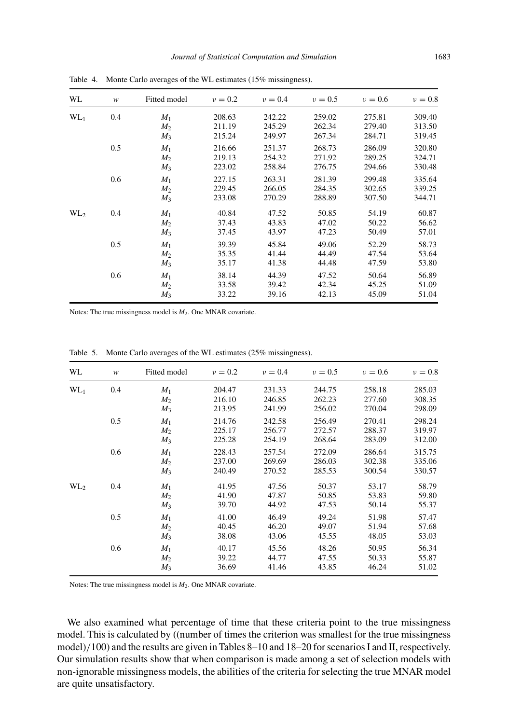| WL              | w   | Fitted model                     | $\nu = 0.2$                | $\nu = 0.4$                | $\nu = 0.5$                | $\nu = 0.6$                | $\nu = 0.8$                |
|-----------------|-----|----------------------------------|----------------------------|----------------------------|----------------------------|----------------------------|----------------------------|
| WL <sub>1</sub> | 0.4 | $M_1$<br>M <sub>2</sub><br>$M_3$ | 208.63<br>211.19<br>215.24 | 242.22<br>245.29<br>249.97 | 259.02<br>262.34<br>267.34 | 275.81<br>279.40<br>284.71 | 309.40<br>313.50<br>319.45 |
|                 | 0.5 | $M_1$<br>M <sub>2</sub><br>$M_3$ | 216.66<br>219.13<br>223.02 | 251.37<br>254.32<br>258.84 | 268.73<br>271.92<br>276.75 | 286.09<br>289.25<br>294.66 | 320.80<br>324.71<br>330.48 |
|                 | 0.6 | $M_1$<br>M <sub>2</sub><br>$M_3$ | 227.15<br>229.45<br>233.08 | 263.31<br>266.05<br>270.29 | 281.39<br>284.35<br>288.89 | 299.48<br>302.65<br>307.50 | 335.64<br>339.25<br>344.71 |
| WL <sub>2</sub> | 0.4 | $M_1$<br>M <sub>2</sub><br>$M_3$ | 40.84<br>37.43<br>37.45    | 47.52<br>43.83<br>43.97    | 50.85<br>47.02<br>47.23    | 54.19<br>50.22<br>50.49    | 60.87<br>56.62<br>57.01    |
|                 | 0.5 | $M_1$<br>M <sub>2</sub><br>$M_3$ | 39.39<br>35.35<br>35.17    | 45.84<br>41.44<br>41.38    | 49.06<br>44.49<br>44.48    | 52.29<br>47.54<br>47.59    | 58.73<br>53.64<br>53.80    |
|                 | 0.6 | $M_1$<br>M <sub>2</sub><br>$M_3$ | 38.14<br>33.58<br>33.22    | 44.39<br>39.42<br>39.16    | 47.52<br>42.34<br>42.13    | 50.64<br>45.25<br>45.09    | 56.89<br>51.09<br>51.04    |

Table 4. Monte Carlo averages of the WL estimates (15% missingness).

Notes: The true missingness model is *M*2. One MNAR covariate.

| WL              | w   | Fitted model                     | $\nu = 0.2$                | $\nu = 0.4$                | $\nu = 0.5$                | $\nu = 0.6$                | $\nu = 0.8$                |
|-----------------|-----|----------------------------------|----------------------------|----------------------------|----------------------------|----------------------------|----------------------------|
| WL <sub>1</sub> | 0.4 | $M_1$                            | 204.47                     | 231.33                     | 244.75                     | 258.18                     | 285.03                     |
|                 |     | M <sub>2</sub><br>$M_3$          | 216.10<br>213.95           | 246.85<br>241.99           | 262.23<br>256.02           | 277.60<br>270.04           | 308.35<br>298.09           |
|                 | 0.5 | $M_1$                            | 214.76<br>225.17           | 242.58<br>256.77           | 256.49<br>272.57           | 270.41<br>288.37           | 298.24<br>319.97           |
|                 |     | M <sub>2</sub><br>$M_3$          | 225.28                     | 254.19                     | 268.64                     | 283.09                     | 312.00                     |
|                 | 0.6 | $M_1$<br>M <sub>2</sub><br>$M_3$ | 228.43<br>237.00<br>240.49 | 257.54<br>269.69<br>270.52 | 272.09<br>286.03<br>285.53 | 286.64<br>302.38<br>300.54 | 315.75<br>335.06<br>330.57 |
| WL <sub>2</sub> | 0.4 | $M_1$<br>M <sub>2</sub><br>$M_3$ | 41.95<br>41.90<br>39.70    | 47.56<br>47.87<br>44.92    | 50.37<br>50.85<br>47.53    | 53.17<br>53.83<br>50.14    | 58.79<br>59.80<br>55.37    |
|                 | 0.5 | $M_1$<br>M <sub>2</sub><br>$M_3$ | 41.00<br>40.45<br>38.08    | 46.49<br>46.20<br>43.06    | 49.24<br>49.07<br>45.55    | 51.98<br>51.94<br>48.05    | 57.47<br>57.68<br>53.03    |
|                 | 0.6 | $M_1$<br>M <sub>2</sub><br>$M_3$ | 40.17<br>39.22<br>36.69    | 45.56<br>44.77<br>41.46    | 48.26<br>47.55<br>43.85    | 50.95<br>50.33<br>46.24    | 56.34<br>55.87<br>51.02    |

Table 5. Monte Carlo averages of the WL estimates (25% missingness).

Notes: The true missingness model is *M*2. One MNAR covariate.

We also examined what percentage of time that these criteria point to the true missingness model. This is calculated by ((number of times the criterion was smallest for the true missingness model)*/*100) and the results are given in Tables [8](#page-15-0)[–10](#page-16-0) and [18–](#page-20-0)[20](#page-21-0) for scenarios I and II, respectively. Our simulation results show that when comparison is made among a set of selection models with non-ignorable missingness models, the abilities of the criteria for selecting the true MNAR model are quite unsatisfactory.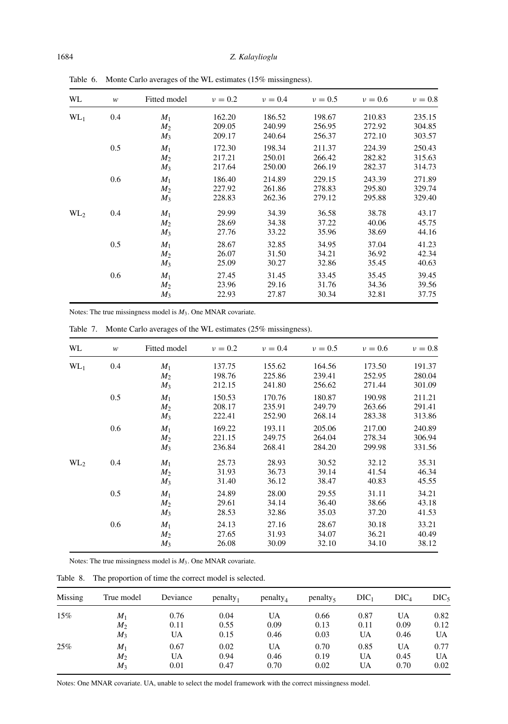| WL              | W   | Fitted model                     | $\nu = 0.2$                | $\nu = 0.4$                | $\nu = 0.5$                | $\nu = 0.6$                | $\nu = 0.8$                |
|-----------------|-----|----------------------------------|----------------------------|----------------------------|----------------------------|----------------------------|----------------------------|
| WL <sub>1</sub> | 0.4 | $M_1$<br>M <sub>2</sub><br>$M_3$ | 162.20<br>209.05<br>209.17 | 186.52<br>240.99<br>240.64 | 198.67<br>256.95<br>256.37 | 210.83<br>272.92<br>272.10 | 235.15<br>304.85<br>303.57 |
|                 | 0.5 | $M_1$<br>M <sub>2</sub><br>$M_3$ | 172.30<br>217.21<br>217.64 | 198.34<br>250.01<br>250.00 | 211.37<br>266.42<br>266.19 | 224.39<br>282.82<br>282.37 | 250.43<br>315.63<br>314.73 |
|                 | 0.6 | $M_1$<br>M <sub>2</sub><br>$M_3$ | 186.40<br>227.92<br>228.83 | 214.89<br>261.86<br>262.36 | 229.15<br>278.83<br>279.12 | 243.39<br>295.80<br>295.88 | 271.89<br>329.74<br>329.40 |
| WL <sub>2</sub> | 0.4 | $M_1$<br>M <sub>2</sub><br>$M_3$ | 29.99<br>28.69<br>27.76    | 34.39<br>34.38<br>33.22    | 36.58<br>37.22<br>35.96    | 38.78<br>40.06<br>38.69    | 43.17<br>45.75<br>44.16    |
|                 | 0.5 | $M_1$<br>M <sub>2</sub><br>$M_3$ | 28.67<br>26.07<br>25.09    | 32.85<br>31.50<br>30.27    | 34.95<br>34.21<br>32.86    | 37.04<br>36.92<br>35.45    | 41.23<br>42.34<br>40.63    |
|                 | 0.6 | $M_1$<br>M <sub>2</sub><br>$M_3$ | 27.45<br>23.96<br>22.93    | 31.45<br>29.16<br>27.87    | 33.45<br>31.76<br>30.34    | 35.45<br>34.36<br>32.81    | 39.45<br>39.56<br>37.75    |

<span id="page-15-0"></span>Table 6. Monte Carlo averages of the WL estimates (15% missingness).

Notes: The true missingness model is *M*3. One MNAR covariate.

| WL              | w   | Fitted model                     | $\nu = 0.2$                | $\nu = 0.4$                | $\nu = 0.5$                | $\nu = 0.6$                | $\nu = 0.8$                |
|-----------------|-----|----------------------------------|----------------------------|----------------------------|----------------------------|----------------------------|----------------------------|
| WL <sub>1</sub> | 0.4 | $M_1$<br>M <sub>2</sub><br>$M_3$ | 137.75<br>198.76<br>212.15 | 155.62<br>225.86<br>241.80 | 164.56<br>239.41<br>256.62 | 173.50<br>252.95<br>271.44 | 191.37<br>280.04<br>301.09 |
|                 | 0.5 | $M_1$<br>M <sub>2</sub><br>$M_3$ | 150.53<br>208.17<br>222.41 | 170.76<br>235.91<br>252.90 | 180.87<br>249.79<br>268.14 | 190.98<br>263.66<br>283.38 | 211.21<br>291.41<br>313.86 |
|                 | 0.6 | $M_1$<br>M <sub>2</sub><br>$M_3$ | 169.22<br>221.15<br>236.84 | 193.11<br>249.75<br>268.41 | 205.06<br>264.04<br>284.20 | 217.00<br>278.34<br>299.98 | 240.89<br>306.94<br>331.56 |
| WL <sub>2</sub> | 0.4 | $M_1$<br>M <sub>2</sub><br>$M_3$ | 25.73<br>31.93<br>31.40    | 28.93<br>36.73<br>36.12    | 30.52<br>39.14<br>38.47    | 32.12<br>41.54<br>40.83    | 35.31<br>46.34<br>45.55    |
|                 | 0.5 | $M_1$<br>M <sub>2</sub><br>$M_3$ | 24.89<br>29.61<br>28.53    | 28.00<br>34.14<br>32.86    | 29.55<br>36.40<br>35.03    | 31.11<br>38.66<br>37.20    | 34.21<br>43.18<br>41.53    |
|                 | 0.6 | $M_1$<br>$M_2$<br>$M_3$          | 24.13<br>27.65<br>26.08    | 27.16<br>31.93<br>30.09    | 28.67<br>34.07<br>32.10    | 30.18<br>36.21<br>34.10    | 33.21<br>40.49<br>38.12    |

Table 7. Monte Carlo averages of the WL estimates (25% missingness).

Notes: The true missingness model is *M*3. One MNAR covariate.

| Table 8. |  | The proportion of time the correct model is selected. |  |  |  |  |  |
|----------|--|-------------------------------------------------------|--|--|--|--|--|
|----------|--|-------------------------------------------------------|--|--|--|--|--|

| Missing | True model     | Deviance | penalty <sub>1</sub> | penalty <sub>A</sub> | penalty <sub>5</sub> | DIC <sub>1</sub> | DIC <sub>4</sub> | DIC <sub>5</sub> |
|---------|----------------|----------|----------------------|----------------------|----------------------|------------------|------------------|------------------|
| 15%     | $M_1$          | 0.76     | 0.04                 | UA                   | 0.66                 | 0.87             | UA               | 0.82             |
|         | M <sub>2</sub> | 0.11     | 0.55                 | 0.09                 | 0.13                 | 0.11             | 0.09             | 0.12             |
|         | $M_3$          | UA       | 0.15                 | 0.46                 | 0.03                 | UA               | 0.46             | UA               |
| 25%     | $M_1$          | 0.67     | 0.02                 | UA                   | 0.70                 | 0.85             | UA               | 0.77             |
|         | M <sub>2</sub> | UA       | 0.94                 | 0.46                 | 0.19                 | UA               | 0.45             | UA               |
|         | $M_3$          | 0.01     | 0.47                 | 0.70                 | 0.02                 | UA               | 0.70             | 0.02             |

Notes: One MNAR covariate. UA, unable to select the model framework with the correct missingness model.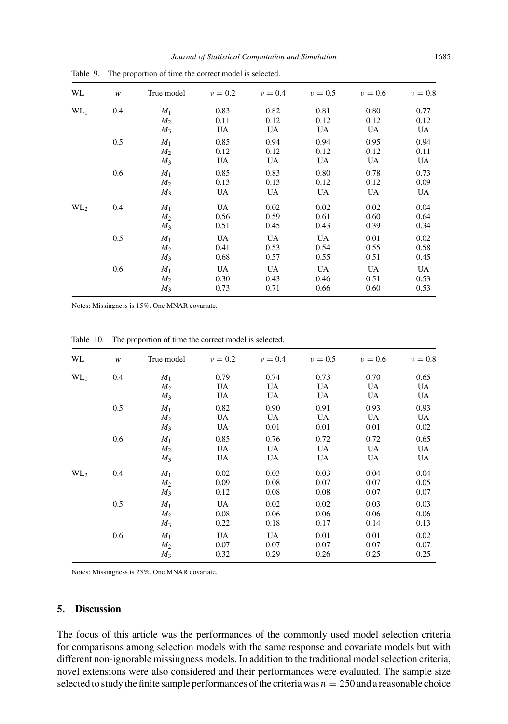| WL              | w   | True model                       | $\nu = 0.2$        | $\nu = 0.4$          | $\nu = 0.5$               | $\nu = 0.6$          | $\nu = 0.8$          |
|-----------------|-----|----------------------------------|--------------------|----------------------|---------------------------|----------------------|----------------------|
| WL <sub>1</sub> | 0.4 | $M_1$<br>M <sub>2</sub><br>$M_3$ | 0.83<br>0.11<br>UA | 0.82<br>0.12<br>UA   | 0.81<br>0.12<br>UA        | 0.80<br>0.12<br>UA   | 0.77<br>0.12<br>UA   |
|                 | 0.5 | $M_1$<br>M <sub>2</sub><br>$M_3$ | 0.85<br>0.12<br>UA | 0.94<br>0.12<br>UA   | 0.94<br>0.12<br>UA        | 0.95<br>0.12<br>UA   | 0.94<br>0.11<br>UA   |
|                 | 0.6 | $M_1$<br>M <sub>2</sub><br>$M_3$ | 0.85<br>0.13<br>UA | 0.83<br>0.13<br>UA   | 0.80<br>0.12<br>UA        | 0.78<br>0.12<br>UA   | 0.73<br>0.09<br>UA   |
| WL <sub>2</sub> | 0.4 | $M_1$<br>M <sub>2</sub><br>$M_3$ | UA<br>0.56<br>0.51 | 0.02<br>0.59<br>0.45 | 0.02<br>0.61<br>0.43      | 0.02<br>0.60<br>0.39 | 0.04<br>0.64<br>0.34 |
|                 | 0.5 | $M_1$<br>M <sub>2</sub><br>$M_3$ | UA<br>0.41<br>0.68 | UA<br>0.53<br>0.57   | <b>UA</b><br>0.54<br>0.55 | 0.01<br>0.55<br>0.51 | 0.02<br>0.58<br>0.45 |
|                 | 0.6 | $M_1$<br>M <sub>2</sub><br>$M_3$ | UA<br>0.30<br>0.73 | UA<br>0.43<br>0.71   | UA<br>0.46<br>0.66        | UA<br>0.51<br>0.60   | UA<br>0.53<br>0.53   |

<span id="page-16-0"></span>Table 9. The proportion of time the correct model is selected.

Notes: Missingness is 15%. One MNAR covariate.

| WL              | w   | True model     | $\nu = 0.2$ | $\nu = 0.4$ | $\nu = 0.5$ | $\nu = 0.6$ | $\nu = 0.8$ |
|-----------------|-----|----------------|-------------|-------------|-------------|-------------|-------------|
| WL <sub>1</sub> | 0.4 | $M_1$          | 0.79        | 0.74        | 0.73        | 0.70        | 0.65        |
|                 |     | M <sub>2</sub> | UA          | UA          | UA          | UA          | UA          |
|                 |     | $M_3$          | UA          | UA          | UA          | UA          | UA          |
|                 | 0.5 | $M_1$          | 0.82        | 0.90        | 0.91        | 0.93        | 0.93        |
|                 |     | M <sub>2</sub> | UA          | UA          | UA          | UA          | UA          |
|                 |     | $M_3$          | UA          | 0.01        | 0.01        | 0.01        | 0.02        |
|                 | 0.6 | $M_1$          | 0.85        | 0.76        | 0.72        | 0.72        | 0.65        |
|                 |     | M <sub>2</sub> | UA          | UA          | UA          | UA          | UA          |
|                 |     | $M_3$          | UA          | UA          | UA          | UA          | UA          |
| WL <sub>2</sub> | 0.4 | $M_1$          | 0.02        | 0.03        | 0.03        | 0.04        | 0.04        |
|                 |     | M <sub>2</sub> | 0.09        | 0.08        | 0.07        | 0.07        | 0.05        |
|                 |     | $M_3$          | 0.12        | 0.08        | 0.08        | 0.07        | 0.07        |
|                 | 0.5 | $M_1$          | UA          | 0.02        | 0.02        | 0.03        | 0.03        |
|                 |     | M <sub>2</sub> | 0.08        | 0.06        | 0.06        | 0.06        | 0.06        |
|                 |     | $M_3$          | 0.22        | 0.18        | 0.17        | 0.14        | 0.13        |
|                 | 0.6 | $M_1$          | UA          | UA          | 0.01        | 0.01        | 0.02        |
|                 |     | M <sub>2</sub> | 0.07        | 0.07        | 0.07        | 0.07        | 0.07        |
|                 |     | $M_3$          | 0.32        | 0.29        | 0.26        | 0.25        | 0.25        |

Table 10. The proportion of time the correct model is selected.

Notes: Missingness is 25%. One MNAR covariate.

#### **5. Discussion**

The focus of this article was the performances of the commonly used model selection criteria for comparisons among selection models with the same response and covariate models but with different non-ignorable missingness models. In addition to the traditional model selection criteria, novel extensions were also considered and their performances were evaluated. The sample size selected to study the finite sample performances of the criteria was  $n = 250$  and a reasonable choice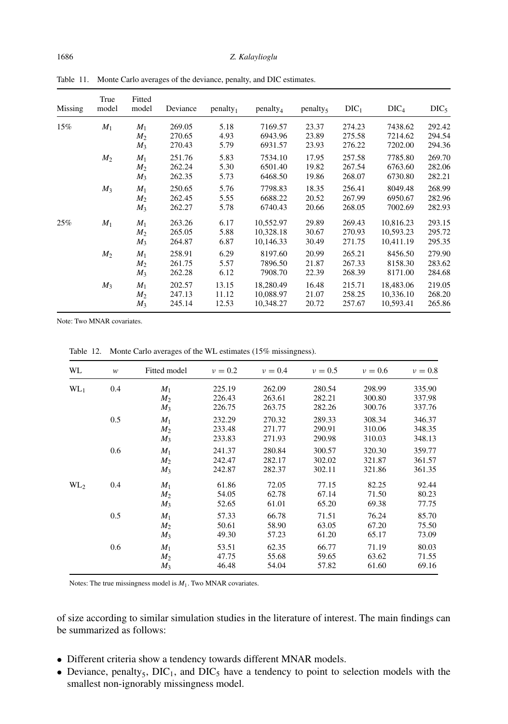| Missing | True<br>model  | Fitted<br>model | Deviance | penalty <sub>1</sub> | penalty <sub>A</sub> | penalty <sub>5</sub> | DIC <sub>1</sub> | DIC <sub>4</sub> | DIC <sub>5</sub> |
|---------|----------------|-----------------|----------|----------------------|----------------------|----------------------|------------------|------------------|------------------|
| 15%     | $M_1$          | $M_1$           | 269.05   | 5.18                 | 7169.57              | 23.37                | 274.23           | 7438.62          | 292.42           |
|         |                | M <sub>2</sub>  | 270.65   | 4.93                 | 6943.96              | 23.89                | 275.58           | 7214.62          | 294.54           |
|         |                | $M_3$           | 270.43   | 5.79                 | 6931.57              | 23.93                | 276.22           | 7202.00          | 294.36           |
|         | M <sub>2</sub> | $M_1$           | 251.76   | 5.83                 | 7534.10              | 17.95                | 257.58           | 7785.80          | 269.70           |
|         |                | M <sub>2</sub>  | 262.24   | 5.30                 | 6501.40              | 19.82                | 267.54           | 6763.60          | 282.06           |
|         |                | $M_3$           | 262.35   | 5.73                 | 6468.50              | 19.86                | 268.07           | 6730.80          | 282.21           |
|         | $M_3$          | $M_1$           | 250.65   | 5.76                 | 7798.83              | 18.35                | 256.41           | 8049.48          | 268.99           |
|         |                | M <sub>2</sub>  | 262.45   | 5.55                 | 6688.22              | 20.52                | 267.99           | 6950.67          | 282.96           |
|         |                | $M_3$           | 262.27   | 5.78                 | 6740.43              | 20.66                | 268.05           | 7002.69          | 282.93           |
| 25%     | $M_1$          | $M_1$           | 263.26   | 6.17                 | 10,552.97            | 29.89                | 269.43           | 10,816.23        | 293.15           |
|         |                | $M_2$           | 265.05   | 5.88                 | 10.328.18            | 30.67                | 270.93           | 10.593.23        | 295.72           |
|         |                | $M_3$           | 264.87   | 6.87                 | 10,146.33            | 30.49                | 271.75           | 10,411.19        | 295.35           |
|         | $M_2$          | $M_1$           | 258.91   | 6.29                 | 8197.60              | 20.99                | 265.21           | 8456.50          | 279.90           |
|         |                | M <sub>2</sub>  | 261.75   | 5.57                 | 7896.50              | 21.87                | 267.33           | 8158.30          | 283.62           |
|         |                | $M_3$           | 262.28   | 6.12                 | 7908.70              | 22.39                | 268.39           | 8171.00          | 284.68           |
|         | $M_3$          | $M_1$           | 202.57   | 13.15                | 18,280.49            | 16.48                | 215.71           | 18,483.06        | 219.05           |
|         |                | M <sub>2</sub>  | 247.13   | 11.12                | 10,088.97            | 21.07                | 258.25           | 10,336.10        | 268.20           |
|         |                | $M_3$           | 245.14   | 12.53                | 10,348.27            | 20.72                | 257.67           | 10,593.41        | 265.86           |

<span id="page-17-0"></span>Table 11. Monte Carlo averages of the deviance, penalty, and DIC estimates.

Note: Two MNAR covariates.

| WL              | w   | Fitted model                     | $\nu = 0.2$                | $\nu = 0.4$                | $\nu = 0.5$                | $\nu = 0.6$                | $\nu = 0.8$                |
|-----------------|-----|----------------------------------|----------------------------|----------------------------|----------------------------|----------------------------|----------------------------|
| WL <sub>1</sub> | 0.4 | $M_1$<br>M <sub>2</sub><br>$M_3$ | 225.19<br>226.43<br>226.75 | 262.09<br>263.61<br>263.75 | 280.54<br>282.21<br>282.26 | 298.99<br>300.80<br>300.76 | 335.90<br>337.98<br>337.76 |
|                 | 0.5 | $M_1$<br>M <sub>2</sub><br>$M_3$ | 232.29<br>233.48<br>233.83 | 270.32<br>271.77<br>271.93 | 289.33<br>290.91<br>290.98 | 308.34<br>310.06<br>310.03 | 346.37<br>348.35<br>348.13 |
|                 | 0.6 | $M_1$<br>M <sub>2</sub><br>$M_3$ | 241.37<br>242.47<br>242.87 | 280.84<br>282.17<br>282.37 | 300.57<br>302.02<br>302.11 | 320.30<br>321.87<br>321.86 | 359.77<br>361.57<br>361.35 |
| WL <sub>2</sub> | 0.4 | $M_1$<br>M <sub>2</sub><br>$M_3$ | 61.86<br>54.05<br>52.65    | 72.05<br>62.78<br>61.01    | 77.15<br>67.14<br>65.20    | 82.25<br>71.50<br>69.38    | 92.44<br>80.23<br>77.75    |
|                 | 0.5 | $M_1$<br>M <sub>2</sub><br>$M_3$ | 57.33<br>50.61<br>49.30    | 66.78<br>58.90<br>57.23    | 71.51<br>63.05<br>61.20    | 76.24<br>67.20<br>65.17    | 85.70<br>75.50<br>73.09    |
|                 | 0.6 | $M_1$<br>M <sub>2</sub><br>$M_3$ | 53.51<br>47.75<br>46.48    | 62.35<br>55.68<br>54.04    | 66.77<br>59.65<br>57.82    | 71.19<br>63.62<br>61.60    | 80.03<br>71.55<br>69.16    |

Table 12. Monte Carlo averages of the WL estimates (15% missingness).

Notes: The true missingness model is *M*1. Two MNAR covariates.

of size according to similar simulation studies in the literature of interest. The main findings can be summarized as follows:

- Different criteria show a tendency towards different MNAR models.
- Deviance, penalty<sub>5</sub>, DIC<sub>1</sub>, and DIC<sub>5</sub> have a tendency to point to selection models with the smallest non-ignorably missingness model.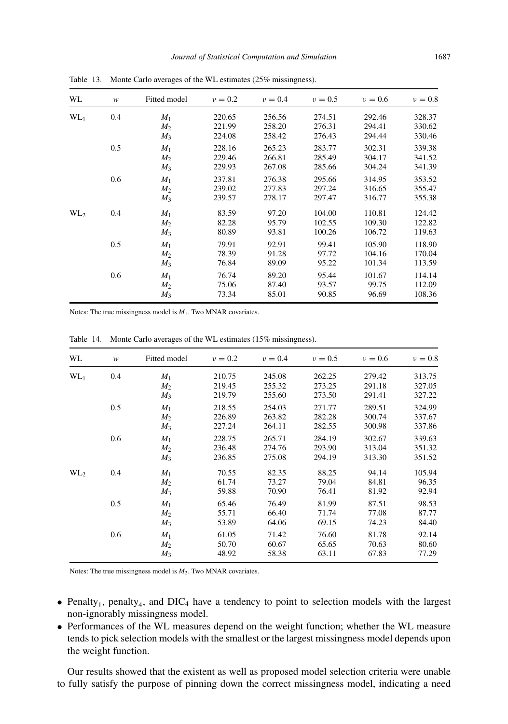| WL              | W   | Fitted model                     | $\nu = 0.2$                | $\nu = 0.4$                | $\nu = 0.5$                | $\nu = 0.6$                | $\nu = 0.8$                |
|-----------------|-----|----------------------------------|----------------------------|----------------------------|----------------------------|----------------------------|----------------------------|
| WL <sub>1</sub> | 0.4 | $M_1$<br>M <sub>2</sub><br>$M_3$ | 220.65<br>221.99<br>224.08 | 256.56<br>258.20<br>258.42 | 274.51<br>276.31<br>276.43 | 292.46<br>294.41<br>294.44 | 328.37<br>330.62<br>330.46 |
|                 | 0.5 | $M_1$<br>M <sub>2</sub><br>$M_3$ | 228.16<br>229.46<br>229.93 | 265.23<br>266.81<br>267.08 | 283.77<br>285.49<br>285.66 | 302.31<br>304.17<br>304.24 | 339.38<br>341.52<br>341.39 |
|                 | 0.6 | $M_1$<br>M <sub>2</sub><br>$M_3$ | 237.81<br>239.02<br>239.57 | 276.38<br>277.83<br>278.17 | 295.66<br>297.24<br>297.47 | 314.95<br>316.65<br>316.77 | 353.52<br>355.47<br>355.38 |
| WL <sub>2</sub> | 0.4 | $M_1$<br>M <sub>2</sub><br>$M_3$ | 83.59<br>82.28<br>80.89    | 97.20<br>95.79<br>93.81    | 104.00<br>102.55<br>100.26 | 110.81<br>109.30<br>106.72 | 124.42<br>122.82<br>119.63 |
|                 | 0.5 | $M_1$<br>M <sub>2</sub><br>$M_3$ | 79.91<br>78.39<br>76.84    | 92.91<br>91.28<br>89.09    | 99.41<br>97.72<br>95.22    | 105.90<br>104.16<br>101.34 | 118.90<br>170.04<br>113.59 |
|                 | 0.6 | $M_1$<br>M <sub>2</sub><br>$M_3$ | 76.74<br>75.06<br>73.34    | 89.20<br>87.40<br>85.01    | 95.44<br>93.57<br>90.85    | 101.67<br>99.75<br>96.69   | 114.14<br>112.09<br>108.36 |

Table 13. Monte Carlo averages of the WL estimates (25% missingness).

Notes: The true missingness model is *M*1. Two MNAR covariates.

| WL              | W   | Fitted model                              | $\nu = 0.2$                          | $\nu = 0.4$                          | $\nu = 0.5$                          | $\nu = 0.6$                          | $\nu = 0.8$                          |
|-----------------|-----|-------------------------------------------|--------------------------------------|--------------------------------------|--------------------------------------|--------------------------------------|--------------------------------------|
| WL <sub>1</sub> | 0.4 | $M_1$<br>M <sub>2</sub>                   | 210.75<br>219.45                     | 245.08<br>255.32                     | 262.25<br>273.25                     | 279.42<br>291.18                     | 313.75<br>327.05                     |
|                 | 0.5 | $M_3$<br>$M_1$<br>M <sub>2</sub><br>$M_3$ | 219.79<br>218.55<br>226.89<br>227.24 | 255.60<br>254.03<br>263.82<br>264.11 | 273.50<br>271.77<br>282.28<br>282.55 | 291.41<br>289.51<br>300.74<br>300.98 | 327.22<br>324.99<br>337.67<br>337.86 |
|                 | 0.6 | $M_1$<br>M <sub>2</sub><br>$M_3$          | 228.75<br>236.48<br>236.85           | 265.71<br>274.76<br>275.08           | 284.19<br>293.90<br>294.19           | 302.67<br>313.04<br>313.30           | 339.63<br>351.32<br>351.52           |
| WL <sub>2</sub> | 0.4 | $M_1$<br>M <sub>2</sub><br>$M_3$          | 70.55<br>61.74<br>59.88              | 82.35<br>73.27<br>70.90              | 88.25<br>79.04<br>76.41              | 94.14<br>84.81<br>81.92              | 105.94<br>96.35<br>92.94             |
|                 | 0.5 | $M_1$<br>M <sub>2</sub><br>$M_3$          | 65.46<br>55.71<br>53.89              | 76.49<br>66.40<br>64.06              | 81.99<br>71.74<br>69.15              | 87.51<br>77.08<br>74.23              | 98.53<br>87.77<br>84.40              |
|                 | 0.6 | $M_1$<br>M <sub>2</sub><br>$M_3$          | 61.05<br>50.70<br>48.92              | 71.42<br>60.67<br>58.38              | 76.60<br>65.65<br>63.11              | 81.78<br>70.63<br>67.83              | 92.14<br>80.60<br>77.29              |

Table 14. Monte Carlo averages of the WL estimates (15% missingness).

Notes: The true missingness model is  $M_2$ . Two MNAR covariates.

- Penalty<sub>1</sub>, penalty<sub>4</sub>, and DIC<sub>4</sub> have a tendency to point to selection models with the largest non-ignorably missingness model.
- Performances of the WL measures depend on the weight function; whether the WL measure tends to pick selection models with the smallest or the largest missingness model depends upon the weight function.

Our results showed that the existent as well as proposed model selection criteria were unable to fully satisfy the purpose of pinning down the correct missingness model, indicating a need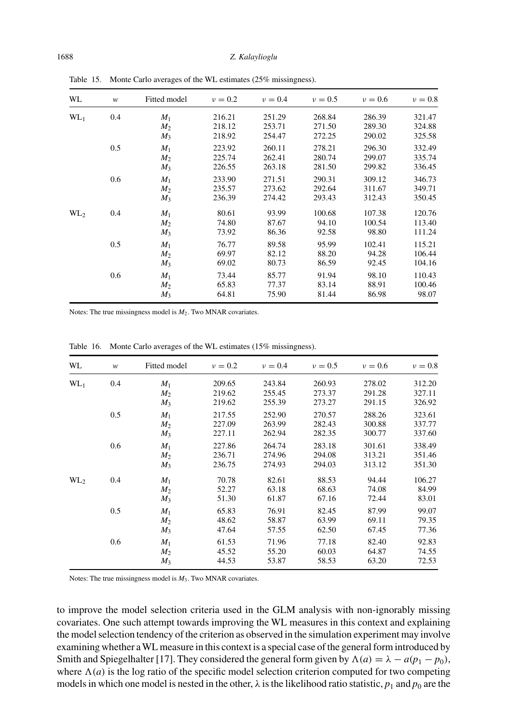| WL              | w   | Fitted model   | $\nu = 0.2$ | $\nu = 0.4$ | $\nu = 0.5$ | $\nu = 0.6$ | $\nu = 0.8$ |
|-----------------|-----|----------------|-------------|-------------|-------------|-------------|-------------|
| WL <sub>1</sub> | 0.4 | $M_1$          | 216.21      | 251.29      | 268.84      | 286.39      | 321.47      |
|                 |     | M <sub>2</sub> | 218.12      | 253.71      | 271.50      | 289.30      | 324.88      |
|                 |     | $M_3$          | 218.92      | 254.47      | 272.25      | 290.02      | 325.58      |
|                 | 0.5 | $M_1$          | 223.92      | 260.11      | 278.21      | 296.30      | 332.49      |
|                 |     | M <sub>2</sub> | 225.74      | 262.41      | 280.74      | 299.07      | 335.74      |
|                 |     | $M_3$          | 226.55      | 263.18      | 281.50      | 299.82      | 336.45      |
|                 | 0.6 | $M_1$          | 233.90      | 271.51      | 290.31      | 309.12      | 346.73      |
|                 |     | M <sub>2</sub> | 235.57      | 273.62      | 292.64      | 311.67      | 349.71      |
|                 |     | $M_3$          | 236.39      | 274.42      | 293.43      | 312.43      | 350.45      |
| WL <sub>2</sub> | 0.4 | $M_1$          | 80.61       | 93.99       | 100.68      | 107.38      | 120.76      |
|                 |     | M <sub>2</sub> | 74.80       | 87.67       | 94.10       | 100.54      | 113.40      |
|                 |     | $M_3$          | 73.92       | 86.36       | 92.58       | 98.80       | 111.24      |
|                 | 0.5 | $M_1$          | 76.77       | 89.58       | 95.99       | 102.41      | 115.21      |
|                 |     | M <sub>2</sub> | 69.97       | 82.12       | 88.20       | 94.28       | 106.44      |
|                 |     | $M_3$          | 69.02       | 80.73       | 86.59       | 92.45       | 104.16      |
|                 | 0.6 | $M_1$          | 73.44       | 85.77       | 91.94       | 98.10       | 110.43      |
|                 |     | M <sub>2</sub> | 65.83       | 77.37       | 83.14       | 88.91       | 100.46      |
|                 |     | $M_3$          | 64.81       | 75.90       | 81.44       | 86.98       | 98.07       |

Table 15. Monte Carlo averages of the WL estimates (25% missingness).

Notes: The true missingness model is  $M_2$ . Two MNAR covariates.

| WL              | w   | Fitted model   | $\nu = 0.2$ | $\nu = 0.4$ | $\nu = 0.5$ | $\nu = 0.6$ | $\nu = 0.8$ |
|-----------------|-----|----------------|-------------|-------------|-------------|-------------|-------------|
| WL <sub>1</sub> | 0.4 | $M_1$          | 209.65      | 243.84      | 260.93      | 278.02      | 312.20      |
|                 |     | M <sub>2</sub> | 219.62      | 255.45      | 273.37      | 291.28      | 327.11      |
|                 |     | $M_3$          | 219.62      | 255.39      | 273.27      | 291.15      | 326.92      |
|                 | 0.5 | $M_1$          | 217.55      | 252.90      | 270.57      | 288.26      | 323.61      |
|                 |     | M <sub>2</sub> | 227.09      | 263.99      | 282.43      | 300.88      | 337.77      |
|                 |     | $M_3$          | 227.11      | 262.94      | 282.35      | 300.77      | 337.60      |
|                 | 0.6 | $M_1$          | 227.86      | 264.74      | 283.18      | 301.61      | 338.49      |
|                 |     | M <sub>2</sub> | 236.71      | 274.96      | 294.08      | 313.21      | 351.46      |
|                 |     | $M_3$          | 236.75      | 274.93      | 294.03      | 313.12      | 351.30      |
| WL <sub>2</sub> | 0.4 | $M_1$          | 70.78       | 82.61       | 88.53       | 94.44       | 106.27      |
|                 |     | M <sub>2</sub> | 52.27       | 63.18       | 68.63       | 74.08       | 84.99       |
|                 |     | $M_3$          | 51.30       | 61.87       | 67.16       | 72.44       | 83.01       |
|                 | 0.5 | $M_1$          | 65.83       | 76.91       | 82.45       | 87.99       | 99.07       |
|                 |     | M <sub>2</sub> | 48.62       | 58.87       | 63.99       | 69.11       | 79.35       |
|                 |     | $M_3$          | 47.64       | 57.55       | 62.50       | 67.45       | 77.36       |
|                 | 0.6 | $M_1$          | 61.53       | 71.96       | 77.18       | 82.40       | 92.83       |
|                 |     | M <sub>2</sub> | 45.52       | 55.20       | 60.03       | 64.87       | 74.55       |
|                 |     | $M_3$          | 44.53       | 53.87       | 58.53       | 63.20       | 72.53       |

Table 16. Monte Carlo averages of the WL estimates (15% missingness).

Notes: The true missingness model is *M*3. Two MNAR covariates.

to improve the model selection criteria used in the GLM analysis with non-ignorably missing covariates. One such attempt towards improving the WL measures in this context and explaining the model selection tendency of the criterion as observed in the simulation experiment may involve examining whether a WL measure in this context is a special case of the general form introduced by Smith and Spiegelhalter [\[17\]](#page-22-0). They considered the general form given by  $\Lambda(a) = \lambda - a(p_1 - p_0)$ , where  $\Lambda(a)$  is the log ratio of the specific model selection criterion computed for two competing models in which one model is nested in the other,  $\lambda$  is the likelihood ratio statistic,  $p_1$  and  $p_0$  are the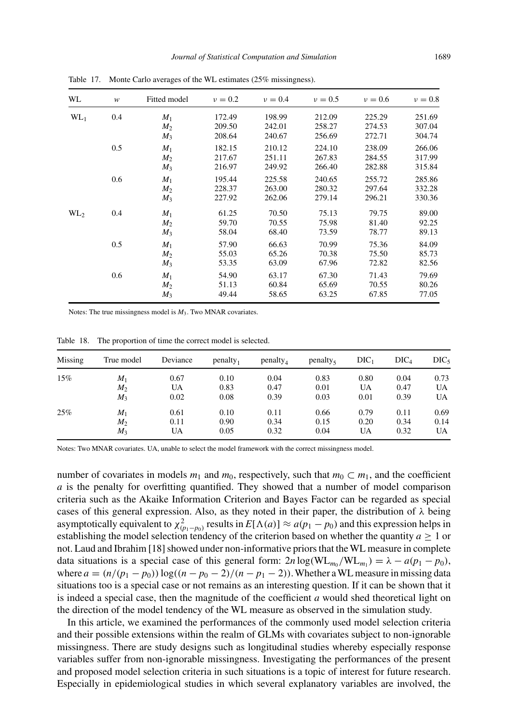| WL              | w   | Fitted model                     | $\nu = 0.2$                | $\nu = 0.4$                | $\nu = 0.5$                | $\nu = 0.6$                | $\nu = 0.8$                |
|-----------------|-----|----------------------------------|----------------------------|----------------------------|----------------------------|----------------------------|----------------------------|
| WL <sub>1</sub> | 0.4 | $M_1$<br>M <sub>2</sub><br>$M_3$ | 172.49<br>209.50<br>208.64 | 198.99<br>242.01<br>240.67 | 212.09<br>258.27<br>256.69 | 225.29<br>274.53<br>272.71 | 251.69<br>307.04<br>304.74 |
|                 | 0.5 | $M_1$<br>M <sub>2</sub><br>$M_3$ | 182.15<br>217.67<br>216.97 | 210.12<br>251.11<br>249.92 | 224.10<br>267.83<br>266.40 | 238.09<br>284.55<br>282.88 | 266.06<br>317.99<br>315.84 |
|                 | 0.6 | $M_1$<br>M <sub>2</sub><br>$M_3$ | 195.44<br>228.37<br>227.92 | 225.58<br>263.00<br>262.06 | 240.65<br>280.32<br>279.14 | 255.72<br>297.64<br>296.21 | 285.86<br>332.28<br>330.36 |
| WL <sub>2</sub> | 0.4 | $M_1$<br>M <sub>2</sub><br>$M_3$ | 61.25<br>59.70<br>58.04    | 70.50<br>70.55<br>68.40    | 75.13<br>75.98<br>73.59    | 79.75<br>81.40<br>78.77    | 89.00<br>92.25<br>89.13    |
|                 | 0.5 | $M_1$<br>M <sub>2</sub><br>$M_3$ | 57.90<br>55.03<br>53.35    | 66.63<br>65.26<br>63.09    | 70.99<br>70.38<br>67.96    | 75.36<br>75.50<br>72.82    | 84.09<br>85.73<br>82.56    |
|                 | 0.6 | $M_1$<br>M <sub>2</sub><br>$M_3$ | 54.90<br>51.13<br>49.44    | 63.17<br>60.84<br>58.65    | 67.30<br>65.69<br>63.25    | 71.43<br>70.55<br>67.85    | 79.69<br>80.26<br>77.05    |

<span id="page-20-0"></span>Table 17. Monte Carlo averages of the WL estimates (25% missingness).

Notes: The true missingness model is *M*3. Two MNAR covariates.

Table 18. The proportion of time the correct model is selected.

| Missing | True model     | Deviance | penalty <sub>1</sub> | penalty <sub>4</sub> | penalty <sub>5</sub> | DIC <sub>1</sub> | DIC <sub>4</sub> | DIC <sub>5</sub> |
|---------|----------------|----------|----------------------|----------------------|----------------------|------------------|------------------|------------------|
| 15%     | $M_1$          | 0.67     | 0.10                 | 0.04                 | 0.83                 | 0.80             | 0.04             | 0.73             |
|         | $M_2$          | UA       | 0.83                 | 0.47                 | 0.01                 | UA               | 0.47             | UA               |
|         | $M_3$          | 0.02     | 0.08                 | 0.39                 | 0.03                 | 0.01             | 0.39             | UA               |
| 25%     | $M_1$          | 0.61     | 0.10                 | 0.11                 | 0.66                 | 0.79             | 0.11             | 0.69             |
|         | M <sub>2</sub> | 0.11     | 0.90                 | 0.34                 | 0.15                 | 0.20             | 0.34             | 0.14             |
|         | $M_3$          | UA       | 0.05                 | 0.32                 | 0.04                 | UA               | 0.32             | UA               |

Notes: Two MNAR covariates. UA, unable to select the model framework with the correct missingness model.

number of covariates in models  $m_1$  and  $m_0$ , respectively, such that  $m_0 \,\subset m_1$ , and the coefficient *a* is the penalty for overfitting quantified. They showed that a number of model comparison criteria such as the Akaike Information Criterion and Bayes Factor can be regarded as special cases of this general expression. Also, as they noted in their paper, the distribution of *λ* being asymptotically equivalent to  $\chi^2_{(p_1-p_0)}$  results in  $E[\Lambda(a)] \approx a(p_1-p_0)$  and this expression helps in establishing the model selection tendency of the criterion based on whether the quantity  $a \ge 1$  or not. Laud and Ibrahim [\[18](#page-22-0)] showed under non-informative priors that the WL measure in complete data situations is a special case of this general form:  $2n \log(WL_{m_0}/WL_{m_1}) = \lambda - a(p_1 - p_0)$ , where  $a = (n/(p_1 - p_0)) \log((n - p_0 - 2)/(n - p_1 - 2))$ . Whether a WL measure in missing data situations too is a special case or not remains as an interesting question. If it can be shown that it is indeed a special case, then the magnitude of the coefficient *a* would shed theoretical light on the direction of the model tendency of the WL measure as observed in the simulation study.

In this article, we examined the performances of the commonly used model selection criteria and their possible extensions within the realm of GLMs with covariates subject to non-ignorable missingness. There are study designs such as longitudinal studies whereby especially response variables suffer from non-ignorable missingness. Investigating the performances of the present and proposed model selection criteria in such situations is a topic of interest for future research. Especially in epidemiological studies in which several explanatory variables are involved, the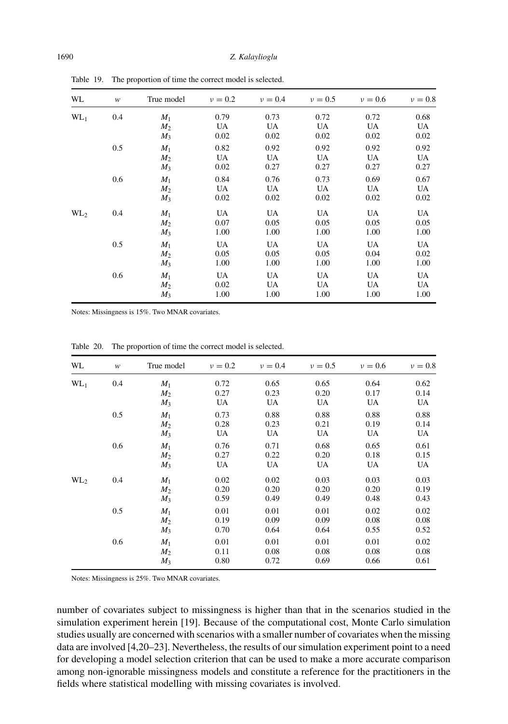| WL              | W   | True model     | $\nu = 0.2$ | $\nu = 0.4$ | $\nu = 0.5$ | $\nu = 0.6$ | $\nu = 0.8$ |
|-----------------|-----|----------------|-------------|-------------|-------------|-------------|-------------|
| WL <sub>1</sub> | 0.4 | $M_1$          | 0.79        | 0.73        | 0.72        | 0.72        | 0.68        |
|                 |     | M <sub>2</sub> | UA          | UA          | UA          | UA          | UA          |
|                 |     | $M_3$          | 0.02        | 0.02        | 0.02        | 0.02        | 0.02        |
|                 | 0.5 | $M_1$          | 0.82        | 0.92        | 0.92        | 0.92        | 0.92        |
|                 |     | M <sub>2</sub> | UA          | UA          | UA          | <b>UA</b>   | UA          |
|                 |     | $M_3$          | 0.02        | 0.27        | 0.27        | 0.27        | 0.27        |
|                 | 0.6 | $M_1$          | 0.84        | 0.76        | 0.73        | 0.69        | 0.67        |
|                 |     | M <sub>2</sub> | UA          | UA          | UA          | UA          | UA          |
|                 |     | $M_3$          | 0.02        | 0.02        | 0.02        | 0.02        | 0.02        |
| WL <sub>2</sub> | 0.4 | $M_1$          | UA          | UA          | UA          | UA          | UA          |
|                 |     | M <sub>2</sub> | 0.07        | 0.05        | 0.05        | 0.05        | 0.05        |
|                 |     | $M_3$          | 1.00        | 1.00        | 1.00        | 1.00        | 1.00        |
|                 | 0.5 | $M_1$          | <b>UA</b>   | <b>UA</b>   | UA          | <b>UA</b>   | UA.         |
|                 |     | M <sub>2</sub> | 0.05        | 0.05        | 0.05        | 0.04        | 0.02        |
|                 |     | $M_3$          | 1.00        | 1.00        | 1.00        | 1.00        | 1.00        |
|                 | 0.6 | $M_1$          | UA          | UA          | UA          | UA          | UA          |
|                 |     | M <sub>2</sub> | 0.02        | <b>UA</b>   | <b>UA</b>   | <b>UA</b>   | UA          |
|                 |     | $M_3$          | 1.00        | 1.00        | 1.00        | 1.00        | 1.00        |

<span id="page-21-0"></span>Table 19. The proportion of time the correct model is selected.

Notes: Missingness is 15%. Two MNAR covariates.

| WL              | W   | True model                       | $\nu = 0.2$          | $\nu = 0.4$          | $\nu = 0.5$          | $\nu = 0.6$          | $\nu = 0.8$          |
|-----------------|-----|----------------------------------|----------------------|----------------------|----------------------|----------------------|----------------------|
| WL <sub>1</sub> | 0.4 | $M_1$<br>M <sub>2</sub><br>$M_3$ | 0.72<br>0.27<br>UA   | 0.65<br>0.23<br>UA   | 0.65<br>0.20<br>UA   | 0.64<br>0.17<br>UA   | 0.62<br>0.14<br>UA   |
|                 | 0.5 | $M_1$<br>M <sub>2</sub><br>$M_3$ | 0.73<br>0.28<br>UA   | 0.88<br>0.23<br>UA   | 0.88<br>0.21<br>UA   | 0.88<br>0.19<br>UA   | 0.88<br>0.14<br>UA   |
|                 | 0.6 | $M_1$<br>M <sub>2</sub><br>$M_3$ | 0.76<br>0.27<br>UA   | 0.71<br>0.22<br>UA   | 0.68<br>0.20<br>UA   | 0.65<br>0.18<br>UA   | 0.61<br>0.15<br>UA   |
| WL <sub>2</sub> | 0.4 | $M_1$<br>M <sub>2</sub><br>$M_3$ | 0.02<br>0.20<br>0.59 | 0.02<br>0.20<br>0.49 | 0.03<br>0.20<br>0.49 | 0.03<br>0.20<br>0.48 | 0.03<br>0.19<br>0.43 |
|                 | 0.5 | $M_1$<br>M <sub>2</sub><br>$M_3$ | 0.01<br>0.19<br>0.70 | 0.01<br>0.09<br>0.64 | 0.01<br>0.09<br>0.64 | 0.02<br>0.08<br>0.55 | 0.02<br>0.08<br>0.52 |
|                 | 0.6 | $M_1$<br>M <sub>2</sub><br>$M_3$ | 0.01<br>0.11<br>0.80 | 0.01<br>0.08<br>0.72 | 0.01<br>0.08<br>0.69 | 0.01<br>0.08<br>0.66 | 0.02<br>0.08<br>0.61 |

Notes: Missingness is 25%. Two MNAR covariates.

number of covariates subject to missingness is higher than that in the scenarios studied in the simulation experiment herein [\[19](#page-22-0)]. Because of the computational cost, Monte Carlo simulation studies usually are concerned with scenarios with a smaller number of covariates when the missing data are involved [\[4,20–23\]](#page-22-0). Nevertheless, the results of our simulation experiment point to a need for developing a model selection criterion that can be used to make a more accurate comparison among non-ignorable missingness models and constitute a reference for the practitioners in the fields where statistical modelling with missing covariates is involved.